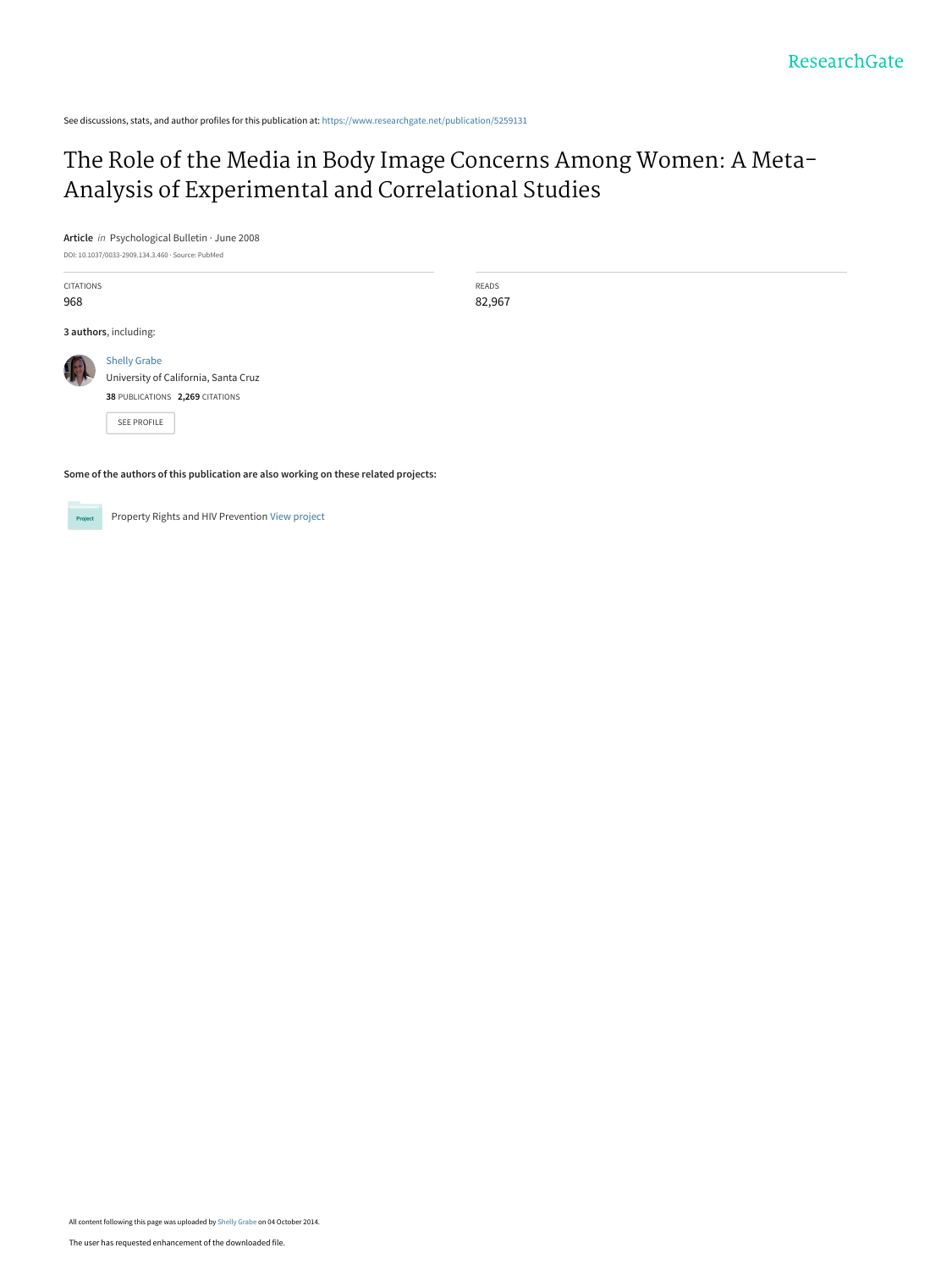See discussions, stats, and author profiles for this publication at: [https://www.researchgate.net/publication/5259131](https://www.researchgate.net/publication/5259131_The_Role_of_the_Media_in_Body_Image_Concerns_Among_Women_A_Meta-Analysis_of_Experimental_and_Correlational_Studies?enrichId=rgreq-c019776d95908b61492ab04df2be11c8-XXX&enrichSource=Y292ZXJQYWdlOzUyNTkxMzE7QVM6MTQ4NjExOTg3OTM5MzI4QDE0MTI0NDMyNjc3ODY%3D&el=1_x_2&_esc=publicationCoverPdf)

# [The Role of the Media in Body Image Concerns Among Women: A Meta-](https://www.researchgate.net/publication/5259131_The_Role_of_the_Media_in_Body_Image_Concerns_Among_Women_A_Meta-Analysis_of_Experimental_and_Correlational_Studies?enrichId=rgreq-c019776d95908b61492ab04df2be11c8-XXX&enrichSource=Y292ZXJQYWdlOzUyNTkxMzE7QVM6MTQ4NjExOTg3OTM5MzI4QDE0MTI0NDMyNjc3ODY%3D&el=1_x_3&_esc=publicationCoverPdf)Analysis of Experimental and Correlational Studies

**Article** in Psychological Bulletin · June 2008

DOI: 10.1037/0033-2909.134.3.460 · Source: PubMed

CITATIONS 968

READS 82,967

**3 authors**, including:



[Shelly Grabe](https://www.researchgate.net/profile/Shelly_Grabe?enrichId=rgreq-c019776d95908b61492ab04df2be11c8-XXX&enrichSource=Y292ZXJQYWdlOzUyNTkxMzE7QVM6MTQ4NjExOTg3OTM5MzI4QDE0MTI0NDMyNjc3ODY%3D&el=1_x_5&_esc=publicationCoverPdf) [University of California, Santa Cruz](https://www.researchgate.net/institution/University_of_California_Santa_Cruz?enrichId=rgreq-c019776d95908b61492ab04df2be11c8-XXX&enrichSource=Y292ZXJQYWdlOzUyNTkxMzE7QVM6MTQ4NjExOTg3OTM5MzI4QDE0MTI0NDMyNjc3ODY%3D&el=1_x_6&_esc=publicationCoverPdf) **38** PUBLICATIONS **2,269** CITATIONS

[SEE PROFILE](https://www.researchgate.net/profile/Shelly_Grabe?enrichId=rgreq-c019776d95908b61492ab04df2be11c8-XXX&enrichSource=Y292ZXJQYWdlOzUyNTkxMzE7QVM6MTQ4NjExOTg3OTM5MzI4QDE0MTI0NDMyNjc3ODY%3D&el=1_x_7&_esc=publicationCoverPdf)

**Some of the authors of this publication are also working on these related projects:**



Property Rights and HIV Prevention [View project](https://www.researchgate.net/project/Property-Rights-and-HIV-Prevention?enrichId=rgreq-c019776d95908b61492ab04df2be11c8-XXX&enrichSource=Y292ZXJQYWdlOzUyNTkxMzE7QVM6MTQ4NjExOTg3OTM5MzI4QDE0MTI0NDMyNjc3ODY%3D&el=1_x_9&_esc=publicationCoverPdf)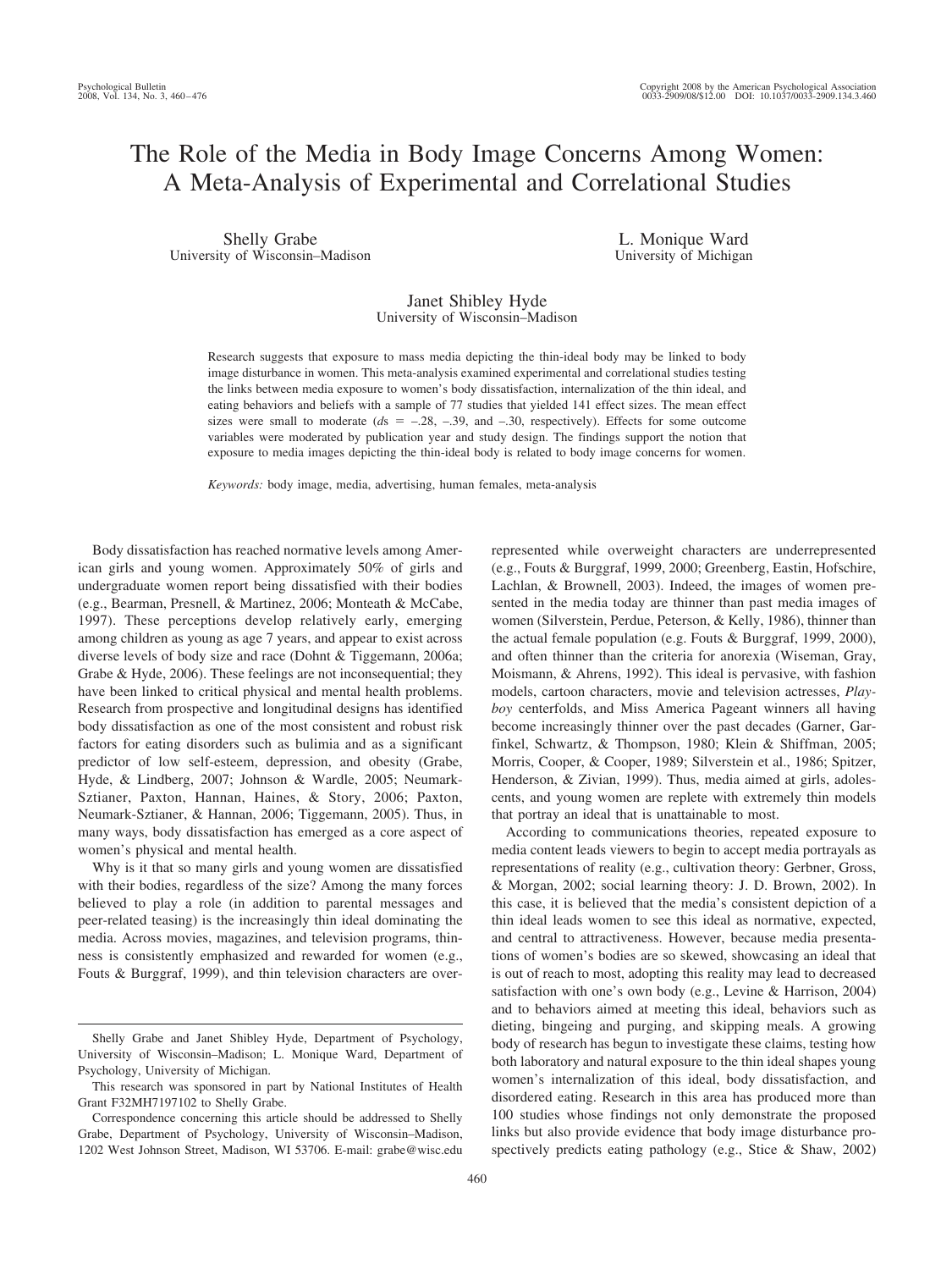# The Role of the Media in Body Image Concerns Among Women: A Meta-Analysis of Experimental and Correlational Studies

Shelly Grabe University of Wisconsin–Madison

L. Monique Ward University of Michigan

# Janet Shibley Hyde University of Wisconsin–Madison

Research suggests that exposure to mass media depicting the thin-ideal body may be linked to body image disturbance in women. This meta-analysis examined experimental and correlational studies testing the links between media exposure to women's body dissatisfaction, internalization of the thin ideal, and eating behaviors and beliefs with a sample of 77 studies that yielded 141 effect sizes. The mean effect sizes were small to moderate  $(ds = -28, -39, \text{ and } -30, \text{ respectively})$ . Effects for some outcome variables were moderated by publication year and study design. The findings support the notion that exposure to media images depicting the thin-ideal body is related to body image concerns for women.

*Keywords:* body image, media, advertising, human females, meta-analysis

Body dissatisfaction has reached normative levels among American girls and young women. Approximately 50% of girls and undergraduate women report being dissatisfied with their bodies (e.g., Bearman, Presnell, & Martinez, 2006; Monteath & McCabe, 1997). These perceptions develop relatively early, emerging among children as young as age 7 years, and appear to exist across diverse levels of body size and race (Dohnt & Tiggemann, 2006a; Grabe & Hyde, 2006). These feelings are not inconsequential; they have been linked to critical physical and mental health problems. Research from prospective and longitudinal designs has identified body dissatisfaction as one of the most consistent and robust risk factors for eating disorders such as bulimia and as a significant predictor of low self-esteem, depression, and obesity (Grabe, Hyde, & Lindberg, 2007; Johnson & Wardle, 2005; Neumark-Sztianer, Paxton, Hannan, Haines, & Story, 2006; Paxton, Neumark-Sztianer, & Hannan, 2006; Tiggemann, 2005). Thus, in many ways, body dissatisfaction has emerged as a core aspect of women's physical and mental health.

Why is it that so many girls and young women are dissatisfied with their bodies, regardless of the size? Among the many forces believed to play a role (in addition to parental messages and peer-related teasing) is the increasingly thin ideal dominating the media. Across movies, magazines, and television programs, thinness is consistently emphasized and rewarded for women (e.g., Fouts & Burggraf, 1999), and thin television characters are over-

460

represented while overweight characters are underrepresented (e.g., Fouts & Burggraf, 1999, 2000; Greenberg, Eastin, Hofschire, Lachlan, & Brownell, 2003). Indeed, the images of women presented in the media today are thinner than past media images of women (Silverstein, Perdue, Peterson, & Kelly, 1986), thinner than the actual female population (e.g. Fouts & Burggraf, 1999, 2000), and often thinner than the criteria for anorexia (Wiseman, Gray, Moismann, & Ahrens, 1992). This ideal is pervasive, with fashion models, cartoon characters, movie and television actresses, *Playboy* centerfolds, and Miss America Pageant winners all having become increasingly thinner over the past decades (Garner, Garfinkel, Schwartz, & Thompson, 1980; Klein & Shiffman, 2005; Morris, Cooper, & Cooper, 1989; Silverstein et al., 1986; Spitzer, Henderson, & Zivian, 1999). Thus, media aimed at girls, adolescents, and young women are replete with extremely thin models that portray an ideal that is unattainable to most.

According to communications theories, repeated exposure to media content leads viewers to begin to accept media portrayals as representations of reality (e.g., cultivation theory: Gerbner, Gross, & Morgan, 2002; social learning theory: J. D. Brown, 2002). In this case, it is believed that the media's consistent depiction of a thin ideal leads women to see this ideal as normative, expected, and central to attractiveness. However, because media presentations of women's bodies are so skewed, showcasing an ideal that is out of reach to most, adopting this reality may lead to decreased satisfaction with one's own body (e.g., Levine & Harrison, 2004) and to behaviors aimed at meeting this ideal, behaviors such as dieting, bingeing and purging, and skipping meals. A growing body of research has begun to investigate these claims, testing how both laboratory and natural exposure to the thin ideal shapes young women's internalization of this ideal, body dissatisfaction, and disordered eating. Research in this area has produced more than 100 studies whose findings not only demonstrate the proposed links but also provide evidence that body image disturbance prospectively predicts eating pathology (e.g., Stice & Shaw, 2002)

Shelly Grabe and Janet Shibley Hyde, Department of Psychology, University of Wisconsin–Madison; L. Monique Ward, Department of Psychology, University of Michigan.

This research was sponsored in part by National Institutes of Health Grant F32MH7197102 to Shelly Grabe.

Correspondence concerning this article should be addressed to Shelly Grabe, Department of Psychology, University of Wisconsin–Madison, 1202 West Johnson Street, Madison, WI 53706. E-mail: grabe@wisc.edu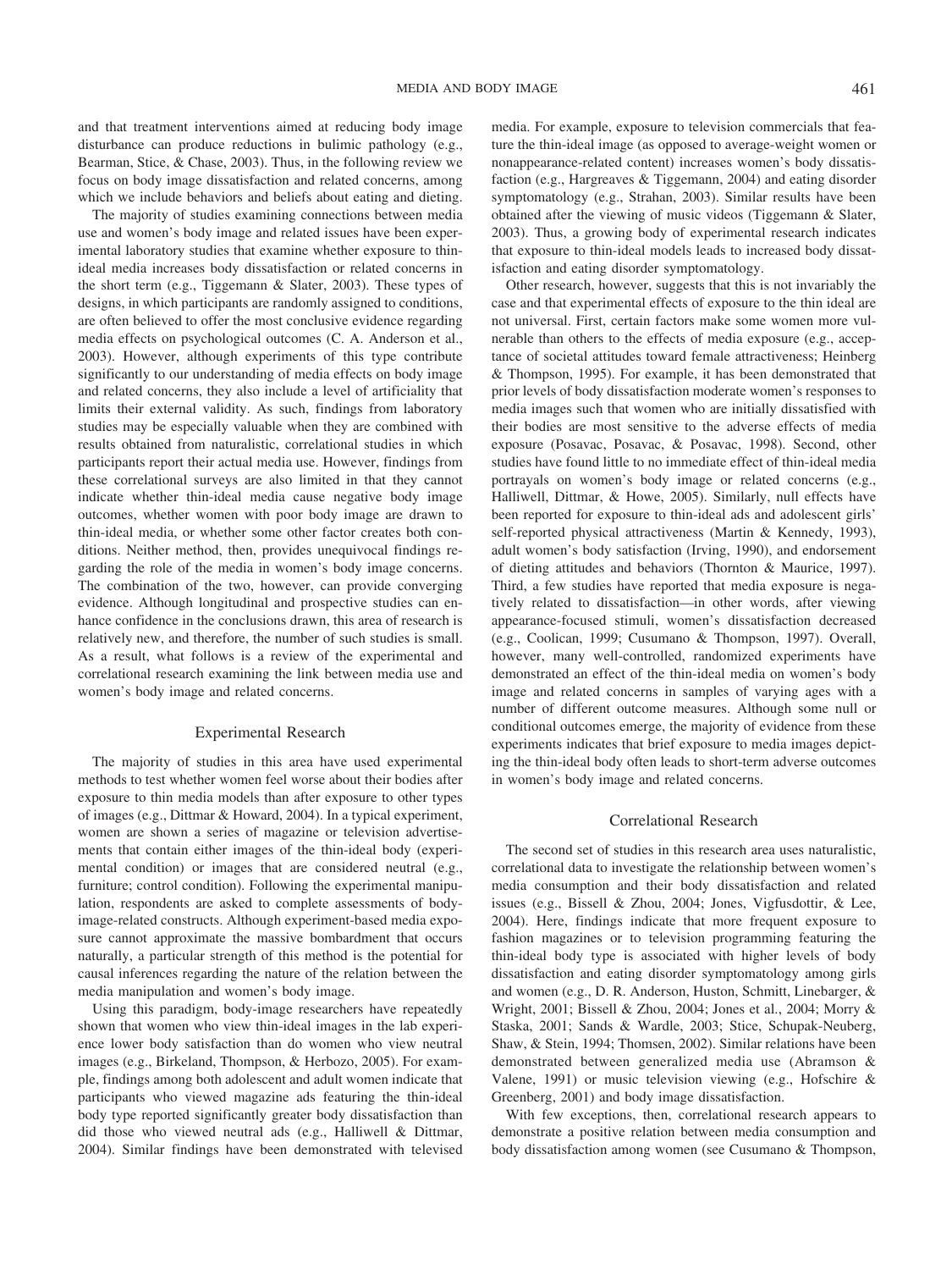and that treatment interventions aimed at reducing body image disturbance can produce reductions in bulimic pathology (e.g., Bearman, Stice, & Chase, 2003). Thus, in the following review we focus on body image dissatisfaction and related concerns, among which we include behaviors and beliefs about eating and dieting.

The majority of studies examining connections between media use and women's body image and related issues have been experimental laboratory studies that examine whether exposure to thinideal media increases body dissatisfaction or related concerns in the short term (e.g., Tiggemann & Slater, 2003). These types of designs, in which participants are randomly assigned to conditions, are often believed to offer the most conclusive evidence regarding media effects on psychological outcomes (C. A. Anderson et al., 2003). However, although experiments of this type contribute significantly to our understanding of media effects on body image and related concerns, they also include a level of artificiality that limits their external validity. As such, findings from laboratory studies may be especially valuable when they are combined with results obtained from naturalistic, correlational studies in which participants report their actual media use. However, findings from these correlational surveys are also limited in that they cannot indicate whether thin-ideal media cause negative body image outcomes, whether women with poor body image are drawn to thin-ideal media, or whether some other factor creates both conditions. Neither method, then, provides unequivocal findings regarding the role of the media in women's body image concerns. The combination of the two, however, can provide converging evidence. Although longitudinal and prospective studies can enhance confidence in the conclusions drawn, this area of research is relatively new, and therefore, the number of such studies is small. As a result, what follows is a review of the experimental and correlational research examining the link between media use and women's body image and related concerns.

## Experimental Research

The majority of studies in this area have used experimental methods to test whether women feel worse about their bodies after exposure to thin media models than after exposure to other types of images (e.g., Dittmar & Howard, 2004). In a typical experiment, women are shown a series of magazine or television advertisements that contain either images of the thin-ideal body (experimental condition) or images that are considered neutral (e.g., furniture; control condition). Following the experimental manipulation, respondents are asked to complete assessments of bodyimage-related constructs. Although experiment-based media exposure cannot approximate the massive bombardment that occurs naturally, a particular strength of this method is the potential for causal inferences regarding the nature of the relation between the media manipulation and women's body image.

Using this paradigm, body-image researchers have repeatedly shown that women who view thin-ideal images in the lab experience lower body satisfaction than do women who view neutral images (e.g., Birkeland, Thompson, & Herbozo, 2005). For example, findings among both adolescent and adult women indicate that participants who viewed magazine ads featuring the thin-ideal body type reported significantly greater body dissatisfaction than did those who viewed neutral ads (e.g., Halliwell & Dittmar, 2004). Similar findings have been demonstrated with televised media. For example, exposure to television commercials that feature the thin-ideal image (as opposed to average-weight women or nonappearance-related content) increases women's body dissatisfaction (e.g., Hargreaves & Tiggemann, 2004) and eating disorder symptomatology (e.g., Strahan, 2003). Similar results have been obtained after the viewing of music videos (Tiggemann & Slater, 2003). Thus, a growing body of experimental research indicates that exposure to thin-ideal models leads to increased body dissatisfaction and eating disorder symptomatology.

Other research, however, suggests that this is not invariably the case and that experimental effects of exposure to the thin ideal are not universal. First, certain factors make some women more vulnerable than others to the effects of media exposure (e.g., acceptance of societal attitudes toward female attractiveness; Heinberg & Thompson, 1995). For example, it has been demonstrated that prior levels of body dissatisfaction moderate women's responses to media images such that women who are initially dissatisfied with their bodies are most sensitive to the adverse effects of media exposure (Posavac, Posavac, & Posavac, 1998). Second, other studies have found little to no immediate effect of thin-ideal media portrayals on women's body image or related concerns (e.g., Halliwell, Dittmar, & Howe, 2005). Similarly, null effects have been reported for exposure to thin-ideal ads and adolescent girls' self-reported physical attractiveness (Martin & Kennedy, 1993), adult women's body satisfaction (Irving, 1990), and endorsement of dieting attitudes and behaviors (Thornton & Maurice, 1997). Third, a few studies have reported that media exposure is negatively related to dissatisfaction—in other words, after viewing appearance-focused stimuli, women's dissatisfaction decreased (e.g., Coolican, 1999; Cusumano & Thompson, 1997). Overall, however, many well-controlled, randomized experiments have demonstrated an effect of the thin-ideal media on women's body image and related concerns in samples of varying ages with a number of different outcome measures. Although some null or conditional outcomes emerge, the majority of evidence from these experiments indicates that brief exposure to media images depicting the thin-ideal body often leads to short-term adverse outcomes in women's body image and related concerns.

## Correlational Research

The second set of studies in this research area uses naturalistic, correlational data to investigate the relationship between women's media consumption and their body dissatisfaction and related issues (e.g., Bissell & Zhou, 2004; Jones, Vigfusdottir, & Lee, 2004). Here, findings indicate that more frequent exposure to fashion magazines or to television programming featuring the thin-ideal body type is associated with higher levels of body dissatisfaction and eating disorder symptomatology among girls and women (e.g., D. R. Anderson, Huston, Schmitt, Linebarger, & Wright, 2001; Bissell & Zhou, 2004; Jones et al., 2004; Morry & Staska, 2001; Sands & Wardle, 2003; Stice, Schupak-Neuberg, Shaw, & Stein, 1994; Thomsen, 2002). Similar relations have been demonstrated between generalized media use (Abramson & Valene, 1991) or music television viewing (e.g., Hofschire & Greenberg, 2001) and body image dissatisfaction.

With few exceptions, then, correlational research appears to demonstrate a positive relation between media consumption and body dissatisfaction among women (see Cusumano & Thompson,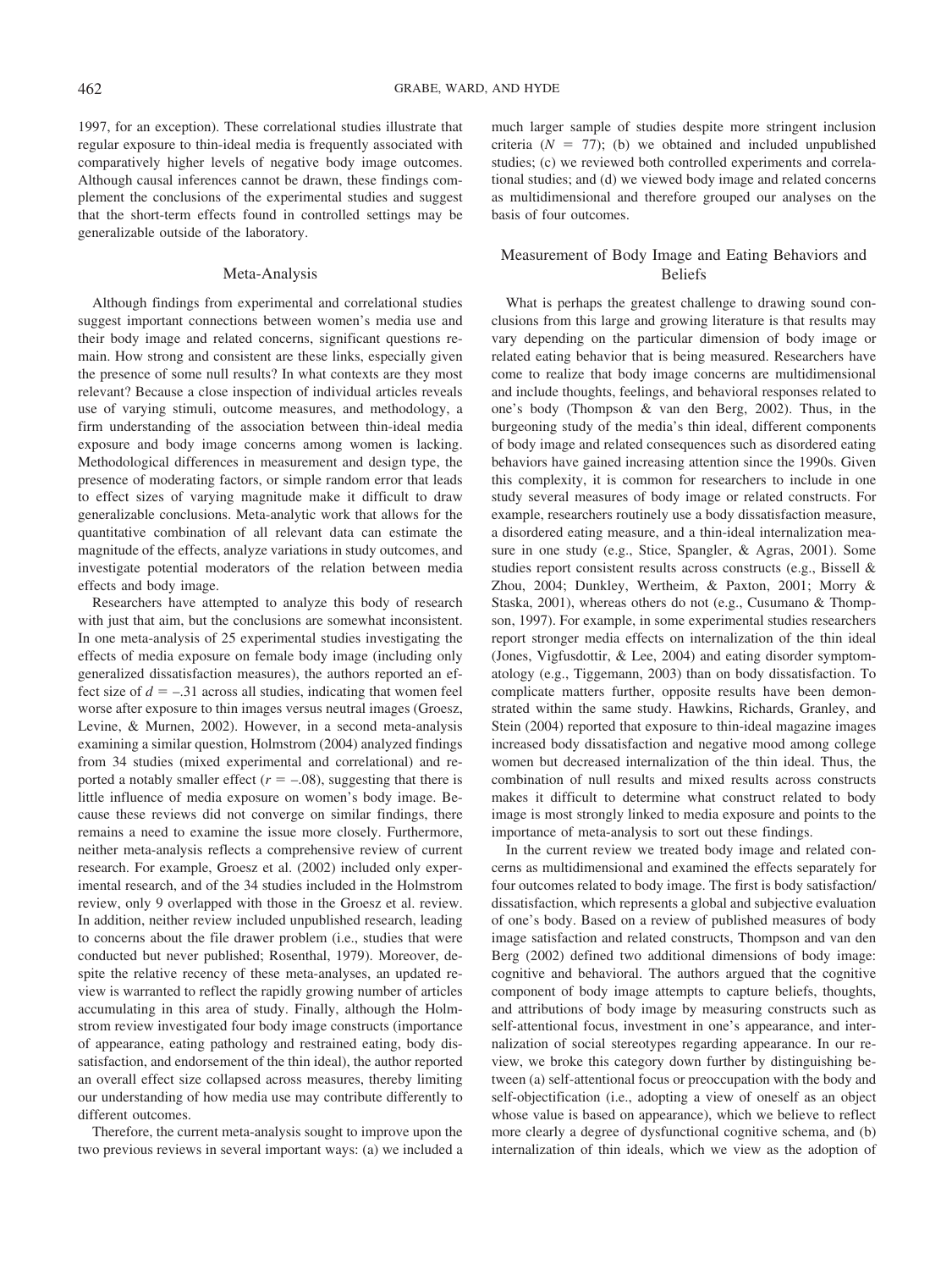1997, for an exception). These correlational studies illustrate that regular exposure to thin-ideal media is frequently associated with comparatively higher levels of negative body image outcomes. Although causal inferences cannot be drawn, these findings complement the conclusions of the experimental studies and suggest that the short-term effects found in controlled settings may be generalizable outside of the laboratory.

## Meta-Analysis

Although findings from experimental and correlational studies suggest important connections between women's media use and their body image and related concerns, significant questions remain. How strong and consistent are these links, especially given the presence of some null results? In what contexts are they most relevant? Because a close inspection of individual articles reveals use of varying stimuli, outcome measures, and methodology, a firm understanding of the association between thin-ideal media exposure and body image concerns among women is lacking. Methodological differences in measurement and design type, the presence of moderating factors, or simple random error that leads to effect sizes of varying magnitude make it difficult to draw generalizable conclusions. Meta-analytic work that allows for the quantitative combination of all relevant data can estimate the magnitude of the effects, analyze variations in study outcomes, and investigate potential moderators of the relation between media effects and body image.

Researchers have attempted to analyze this body of research with just that aim, but the conclusions are somewhat inconsistent. In one meta-analysis of 25 experimental studies investigating the effects of media exposure on female body image (including only generalized dissatisfaction measures), the authors reported an effect size of  $d = -0.31$  across all studies, indicating that women feel worse after exposure to thin images versus neutral images (Groesz, Levine, & Murnen, 2002). However, in a second meta-analysis examining a similar question, Holmstrom (2004) analyzed findings from 34 studies (mixed experimental and correlational) and reported a notably smaller effect  $(r = -.08)$ , suggesting that there is little influence of media exposure on women's body image. Because these reviews did not converge on similar findings, there remains a need to examine the issue more closely. Furthermore, neither meta-analysis reflects a comprehensive review of current research. For example, Groesz et al. (2002) included only experimental research, and of the 34 studies included in the Holmstrom review, only 9 overlapped with those in the Groesz et al. review. In addition, neither review included unpublished research, leading to concerns about the file drawer problem (i.e., studies that were conducted but never published; Rosenthal, 1979). Moreover, despite the relative recency of these meta-analyses, an updated review is warranted to reflect the rapidly growing number of articles accumulating in this area of study. Finally, although the Holmstrom review investigated four body image constructs (importance of appearance, eating pathology and restrained eating, body dissatisfaction, and endorsement of the thin ideal), the author reported an overall effect size collapsed across measures, thereby limiting our understanding of how media use may contribute differently to different outcomes.

Therefore, the current meta-analysis sought to improve upon the two previous reviews in several important ways: (a) we included a much larger sample of studies despite more stringent inclusion criteria  $(N = 77)$ ; (b) we obtained and included unpublished studies; (c) we reviewed both controlled experiments and correlational studies; and (d) we viewed body image and related concerns as multidimensional and therefore grouped our analyses on the basis of four outcomes.

# Measurement of Body Image and Eating Behaviors and Beliefs

What is perhaps the greatest challenge to drawing sound conclusions from this large and growing literature is that results may vary depending on the particular dimension of body image or related eating behavior that is being measured. Researchers have come to realize that body image concerns are multidimensional and include thoughts, feelings, and behavioral responses related to one's body (Thompson & van den Berg, 2002). Thus, in the burgeoning study of the media's thin ideal, different components of body image and related consequences such as disordered eating behaviors have gained increasing attention since the 1990s. Given this complexity, it is common for researchers to include in one study several measures of body image or related constructs. For example, researchers routinely use a body dissatisfaction measure, a disordered eating measure, and a thin-ideal internalization measure in one study (e.g., Stice, Spangler, & Agras, 2001). Some studies report consistent results across constructs (e.g., Bissell & Zhou, 2004; Dunkley, Wertheim, & Paxton, 2001; Morry & Staska, 2001), whereas others do not (e.g., Cusumano & Thompson, 1997). For example, in some experimental studies researchers report stronger media effects on internalization of the thin ideal (Jones, Vigfusdottir, & Lee, 2004) and eating disorder symptomatology (e.g., Tiggemann, 2003) than on body dissatisfaction. To complicate matters further, opposite results have been demonstrated within the same study. Hawkins, Richards, Granley, and Stein (2004) reported that exposure to thin-ideal magazine images increased body dissatisfaction and negative mood among college women but decreased internalization of the thin ideal. Thus, the combination of null results and mixed results across constructs makes it difficult to determine what construct related to body image is most strongly linked to media exposure and points to the importance of meta-analysis to sort out these findings.

In the current review we treated body image and related concerns as multidimensional and examined the effects separately for four outcomes related to body image. The first is body satisfaction/ dissatisfaction, which represents a global and subjective evaluation of one's body. Based on a review of published measures of body image satisfaction and related constructs, Thompson and van den Berg (2002) defined two additional dimensions of body image: cognitive and behavioral. The authors argued that the cognitive component of body image attempts to capture beliefs, thoughts, and attributions of body image by measuring constructs such as self-attentional focus, investment in one's appearance, and internalization of social stereotypes regarding appearance. In our review, we broke this category down further by distinguishing between (a) self-attentional focus or preoccupation with the body and self-objectification (i.e., adopting a view of oneself as an object whose value is based on appearance), which we believe to reflect more clearly a degree of dysfunctional cognitive schema, and (b) internalization of thin ideals, which we view as the adoption of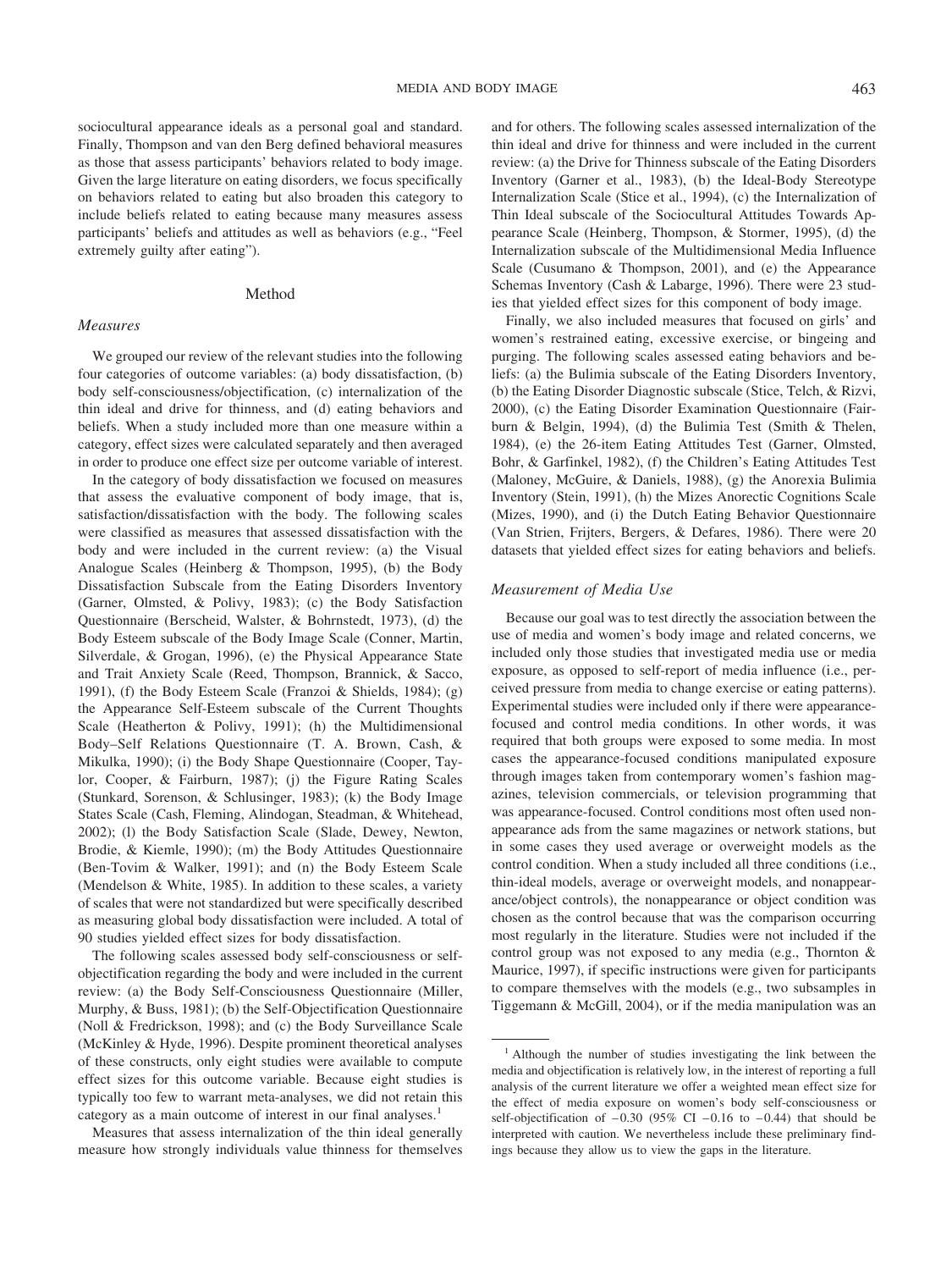sociocultural appearance ideals as a personal goal and standard. Finally, Thompson and van den Berg defined behavioral measures as those that assess participants' behaviors related to body image. Given the large literature on eating disorders, we focus specifically on behaviors related to eating but also broaden this category to include beliefs related to eating because many measures assess participants' beliefs and attitudes as well as behaviors (e.g., "Feel extremely guilty after eating").

# Method

# *Measures*

We grouped our review of the relevant studies into the following four categories of outcome variables: (a) body dissatisfaction, (b) body self-consciousness/objectification, (c) internalization of the thin ideal and drive for thinness, and (d) eating behaviors and beliefs. When a study included more than one measure within a category, effect sizes were calculated separately and then averaged in order to produce one effect size per outcome variable of interest.

In the category of body dissatisfaction we focused on measures that assess the evaluative component of body image, that is, satisfaction/dissatisfaction with the body. The following scales were classified as measures that assessed dissatisfaction with the body and were included in the current review: (a) the Visual Analogue Scales (Heinberg & Thompson, 1995), (b) the Body Dissatisfaction Subscale from the Eating Disorders Inventory (Garner, Olmsted, & Polivy, 1983); (c) the Body Satisfaction Questionnaire (Berscheid, Walster, & Bohrnstedt, 1973), (d) the Body Esteem subscale of the Body Image Scale (Conner, Martin, Silverdale, & Grogan, 1996), (e) the Physical Appearance State and Trait Anxiety Scale (Reed, Thompson, Brannick, & Sacco, 1991), (f) the Body Esteem Scale (Franzoi & Shields, 1984); (g) the Appearance Self-Esteem subscale of the Current Thoughts Scale (Heatherton & Polivy, 1991); (h) the Multidimensional Body–Self Relations Questionnaire (T. A. Brown, Cash, & Mikulka, 1990); (i) the Body Shape Questionnaire (Cooper, Taylor, Cooper, & Fairburn, 1987); (j) the Figure Rating Scales (Stunkard, Sorenson, & Schlusinger, 1983); (k) the Body Image States Scale (Cash, Fleming, Alindogan, Steadman, & Whitehead, 2002); (l) the Body Satisfaction Scale (Slade, Dewey, Newton, Brodie, & Kiemle, 1990); (m) the Body Attitudes Questionnaire (Ben-Tovim & Walker, 1991); and (n) the Body Esteem Scale (Mendelson & White, 1985). In addition to these scales, a variety of scales that were not standardized but were specifically described as measuring global body dissatisfaction were included. A total of 90 studies yielded effect sizes for body dissatisfaction.

The following scales assessed body self-consciousness or selfobjectification regarding the body and were included in the current review: (a) the Body Self-Consciousness Questionnaire (Miller, Murphy, & Buss, 1981); (b) the Self-Objectification Questionnaire (Noll & Fredrickson, 1998); and (c) the Body Surveillance Scale (McKinley & Hyde, 1996). Despite prominent theoretical analyses of these constructs, only eight studies were available to compute effect sizes for this outcome variable. Because eight studies is typically too few to warrant meta-analyses, we did not retain this category as a main outcome of interest in our final analyses.<sup>1</sup>

Measures that assess internalization of the thin ideal generally measure how strongly individuals value thinness for themselves and for others. The following scales assessed internalization of the thin ideal and drive for thinness and were included in the current review: (a) the Drive for Thinness subscale of the Eating Disorders Inventory (Garner et al., 1983), (b) the Ideal-Body Stereotype Internalization Scale (Stice et al., 1994), (c) the Internalization of Thin Ideal subscale of the Sociocultural Attitudes Towards Appearance Scale (Heinberg, Thompson, & Stormer, 1995), (d) the Internalization subscale of the Multidimensional Media Influence Scale (Cusumano & Thompson, 2001), and (e) the Appearance Schemas Inventory (Cash & Labarge, 1996). There were 23 studies that yielded effect sizes for this component of body image.

Finally, we also included measures that focused on girls' and women's restrained eating, excessive exercise, or bingeing and purging. The following scales assessed eating behaviors and beliefs: (a) the Bulimia subscale of the Eating Disorders Inventory, (b) the Eating Disorder Diagnostic subscale (Stice, Telch, & Rizvi, 2000), (c) the Eating Disorder Examination Questionnaire (Fairburn & Belgin, 1994), (d) the Bulimia Test (Smith & Thelen, 1984), (e) the 26-item Eating Attitudes Test (Garner, Olmsted, Bohr, & Garfinkel, 1982), (f) the Children's Eating Attitudes Test (Maloney, McGuire, & Daniels, 1988), (g) the Anorexia Bulimia Inventory (Stein, 1991), (h) the Mizes Anorectic Cognitions Scale (Mizes, 1990), and (i) the Dutch Eating Behavior Questionnaire (Van Strien, Frijters, Bergers, & Defares, 1986). There were 20 datasets that yielded effect sizes for eating behaviors and beliefs.

# *Measurement of Media Use*

Because our goal was to test directly the association between the use of media and women's body image and related concerns, we included only those studies that investigated media use or media exposure, as opposed to self-report of media influence (i.e., perceived pressure from media to change exercise or eating patterns). Experimental studies were included only if there were appearancefocused and control media conditions. In other words, it was required that both groups were exposed to some media. In most cases the appearance-focused conditions manipulated exposure through images taken from contemporary women's fashion magazines, television commercials, or television programming that was appearance-focused. Control conditions most often used nonappearance ads from the same magazines or network stations, but in some cases they used average or overweight models as the control condition. When a study included all three conditions (i.e., thin-ideal models, average or overweight models, and nonappearance/object controls), the nonappearance or object condition was chosen as the control because that was the comparison occurring most regularly in the literature. Studies were not included if the control group was not exposed to any media (e.g., Thornton & Maurice, 1997), if specific instructions were given for participants to compare themselves with the models (e.g., two subsamples in Tiggemann & McGill, 2004), or if the media manipulation was an

<sup>1</sup> Although the number of studies investigating the link between the media and objectification is relatively low, in the interest of reporting a full analysis of the current literature we offer a weighted mean effect size for the effect of media exposure on women's body self-consciousness or self-objectification of  $-0.30$  (95% CI  $-0.16$  to  $-0.44$ ) that should be interpreted with caution. We nevertheless include these preliminary findings because they allow us to view the gaps in the literature.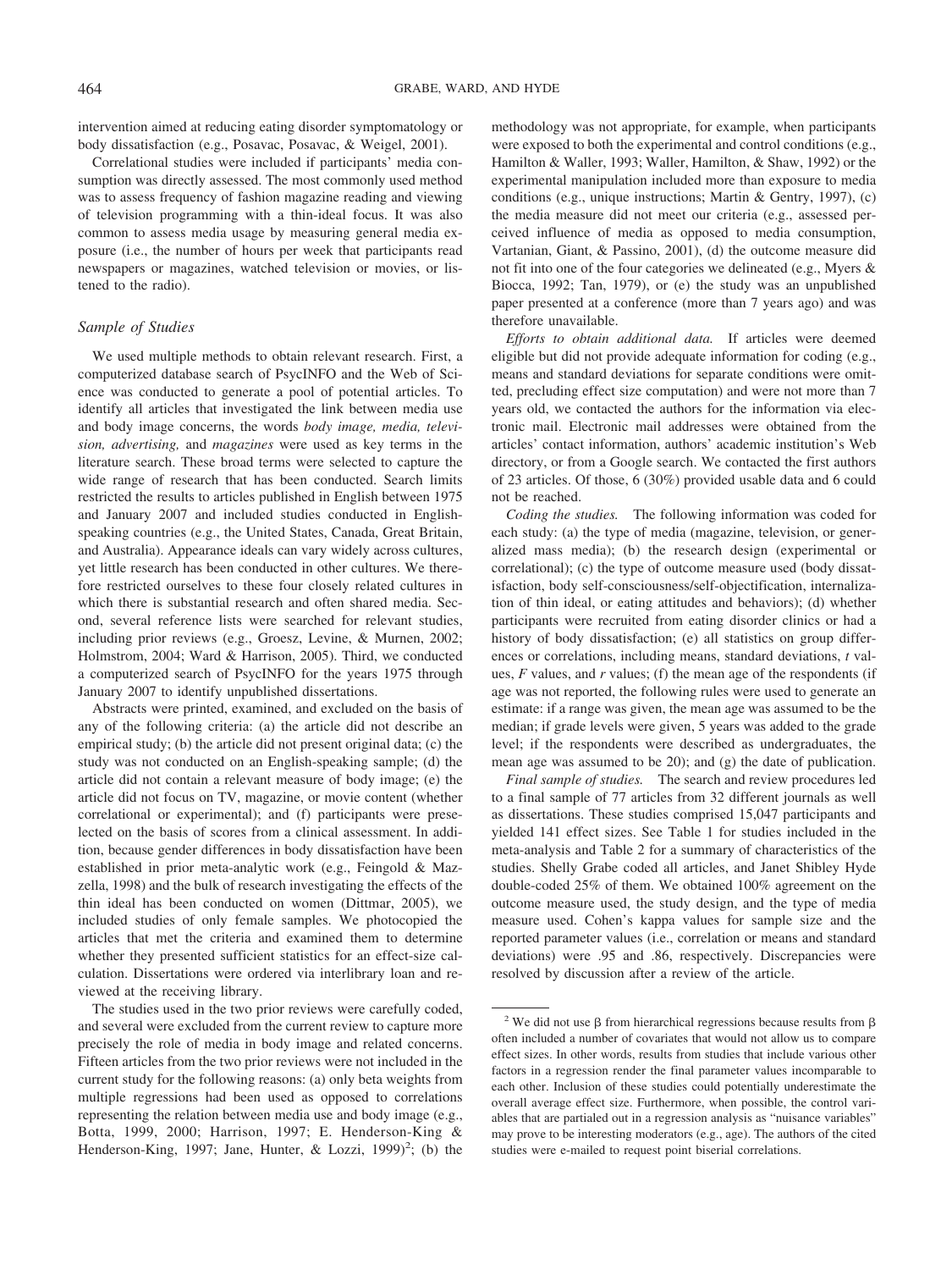intervention aimed at reducing eating disorder symptomatology or body dissatisfaction (e.g., Posavac, Posavac, & Weigel, 2001).

Correlational studies were included if participants' media consumption was directly assessed. The most commonly used method was to assess frequency of fashion magazine reading and viewing of television programming with a thin-ideal focus. It was also common to assess media usage by measuring general media exposure (i.e., the number of hours per week that participants read newspapers or magazines, watched television or movies, or listened to the radio).

# *Sample of Studies*

We used multiple methods to obtain relevant research. First, a computerized database search of PsycINFO and the Web of Science was conducted to generate a pool of potential articles. To identify all articles that investigated the link between media use and body image concerns, the words *body image, media, television, advertising,* and *magazines* were used as key terms in the literature search. These broad terms were selected to capture the wide range of research that has been conducted. Search limits restricted the results to articles published in English between 1975 and January 2007 and included studies conducted in Englishspeaking countries (e.g., the United States, Canada, Great Britain, and Australia). Appearance ideals can vary widely across cultures, yet little research has been conducted in other cultures. We therefore restricted ourselves to these four closely related cultures in which there is substantial research and often shared media. Second, several reference lists were searched for relevant studies, including prior reviews (e.g., Groesz, Levine, & Murnen, 2002; Holmstrom, 2004; Ward & Harrison, 2005). Third, we conducted a computerized search of PsycINFO for the years 1975 through January 2007 to identify unpublished dissertations.

Abstracts were printed, examined, and excluded on the basis of any of the following criteria: (a) the article did not describe an empirical study; (b) the article did not present original data; (c) the study was not conducted on an English-speaking sample; (d) the article did not contain a relevant measure of body image; (e) the article did not focus on TV, magazine, or movie content (whether correlational or experimental); and (f) participants were preselected on the basis of scores from a clinical assessment. In addition, because gender differences in body dissatisfaction have been established in prior meta-analytic work (e.g., Feingold & Mazzella, 1998) and the bulk of research investigating the effects of the thin ideal has been conducted on women (Dittmar, 2005), we included studies of only female samples. We photocopied the articles that met the criteria and examined them to determine whether they presented sufficient statistics for an effect-size calculation. Dissertations were ordered via interlibrary loan and reviewed at the receiving library.

The studies used in the two prior reviews were carefully coded, and several were excluded from the current review to capture more precisely the role of media in body image and related concerns. Fifteen articles from the two prior reviews were not included in the current study for the following reasons: (a) only beta weights from multiple regressions had been used as opposed to correlations representing the relation between media use and body image (e.g., Botta, 1999, 2000; Harrison, 1997; E. Henderson-King & Henderson-King, 1997; Jane, Hunter, & Lozzi, 1999)<sup>2</sup>; (b) the

methodology was not appropriate, for example, when participants were exposed to both the experimental and control conditions (e.g., Hamilton & Waller, 1993; Waller, Hamilton, & Shaw, 1992) or the experimental manipulation included more than exposure to media conditions (e.g., unique instructions; Martin & Gentry, 1997), (c) the media measure did not meet our criteria (e.g., assessed perceived influence of media as opposed to media consumption, Vartanian, Giant, & Passino, 2001), (d) the outcome measure did not fit into one of the four categories we delineated (e.g., Myers & Biocca, 1992; Tan, 1979), or (e) the study was an unpublished paper presented at a conference (more than 7 years ago) and was therefore unavailable.

*Efforts to obtain additional data.* If articles were deemed eligible but did not provide adequate information for coding (e.g., means and standard deviations for separate conditions were omitted, precluding effect size computation) and were not more than 7 years old, we contacted the authors for the information via electronic mail. Electronic mail addresses were obtained from the articles' contact information, authors' academic institution's Web directory, or from a Google search. We contacted the first authors of 23 articles. Of those, 6 (30%) provided usable data and 6 could not be reached.

*Coding the studies.* The following information was coded for each study: (a) the type of media (magazine, television, or generalized mass media); (b) the research design (experimental or correlational); (c) the type of outcome measure used (body dissatisfaction, body self-consciousness/self-objectification, internalization of thin ideal, or eating attitudes and behaviors); (d) whether participants were recruited from eating disorder clinics or had a history of body dissatisfaction; (e) all statistics on group differences or correlations, including means, standard deviations, *t* values, *F* values, and *r* values; (f) the mean age of the respondents (if age was not reported, the following rules were used to generate an estimate: if a range was given, the mean age was assumed to be the median; if grade levels were given, 5 years was added to the grade level; if the respondents were described as undergraduates, the mean age was assumed to be 20); and (g) the date of publication.

*Final sample of studies.* The search and review procedures led to a final sample of 77 articles from 32 different journals as well as dissertations. These studies comprised 15,047 participants and yielded 141 effect sizes. See Table 1 for studies included in the meta-analysis and Table 2 for a summary of characteristics of the studies. Shelly Grabe coded all articles, and Janet Shibley Hyde double-coded 25% of them. We obtained 100% agreement on the outcome measure used, the study design, and the type of media measure used. Cohen's kappa values for sample size and the reported parameter values (i.e., correlation or means and standard deviations) were .95 and .86, respectively. Discrepancies were resolved by discussion after a review of the article.

<sup>&</sup>lt;sup>2</sup> We did not use  $\beta$  from hierarchical regressions because results from  $\beta$ often included a number of covariates that would not allow us to compare effect sizes. In other words, results from studies that include various other factors in a regression render the final parameter values incomparable to each other. Inclusion of these studies could potentially underestimate the overall average effect size. Furthermore, when possible, the control variables that are partialed out in a regression analysis as "nuisance variables" may prove to be interesting moderators (e.g., age). The authors of the cited studies were e-mailed to request point biserial correlations.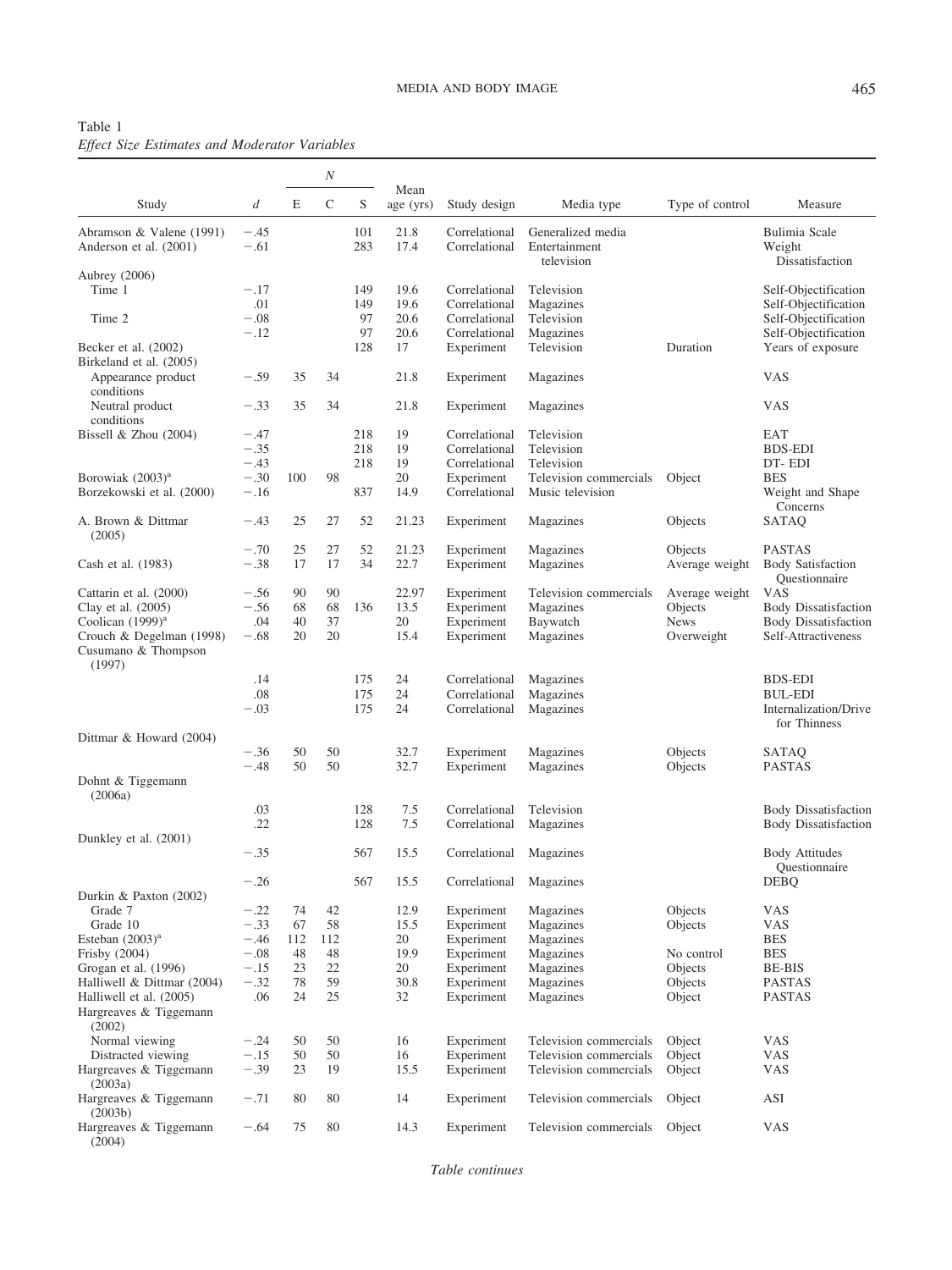| Table 1 |  |                                                      |  |
|---------|--|------------------------------------------------------|--|
|         |  | <b>Effect Size Estimates and Moderator Variables</b> |  |

|                                                           |                  |     | $\cal N$    |            |                   |                                |                                                  |                 |                                            |
|-----------------------------------------------------------|------------------|-----|-------------|------------|-------------------|--------------------------------|--------------------------------------------------|-----------------|--------------------------------------------|
| Study                                                     | d                | E   | $\mathsf C$ | S          | Mean<br>age (yrs) | Study design                   | Media type                                       | Type of control | Measure                                    |
| Abramson & Valene (1991)<br>Anderson et al. (2001)        | $-.45$<br>$-.61$ |     |             | 101<br>283 | 21.8<br>17.4      | Correlational<br>Correlational | Generalized media<br>Entertainment<br>television |                 | Bulimia Scale<br>Weight<br>Dissatisfaction |
| Aubrey (2006)                                             |                  |     |             |            |                   |                                |                                                  |                 |                                            |
| Time 1                                                    | $-.17$           |     |             | 149        | 19.6              | Correlational                  | Television                                       |                 | Self-Objectification                       |
|                                                           | .01              |     |             | 149        | 19.6              | Correlational                  | Magazines                                        |                 | Self-Objectification                       |
| Time 2                                                    | $-.08$           |     |             | 97         | 20.6              | Correlational                  | Television                                       |                 | Self-Objectification                       |
|                                                           | $-.12$           |     |             | 97         | 20.6              | Correlational                  | Magazines                                        |                 | Self-Objectification                       |
| Becker et al. (2002)<br>Birkeland et al. (2005)           |                  |     |             | 128        | 17                | Experiment                     | Television                                       | Duration        | Years of exposure                          |
| Appearance product<br>conditions                          | $-.59$           | 35  | 34          |            | 21.8              | Experiment                     | Magazines                                        |                 | <b>VAS</b>                                 |
| Neutral product<br>conditions                             | $-.33$           | 35  | 34          |            | 21.8              | Experiment                     | Magazines                                        |                 | <b>VAS</b>                                 |
| Bissell & Zhou $(2004)$                                   | $-.47$           |     |             | 218        | 19                | Correlational                  | Television                                       |                 | EAT                                        |
|                                                           | $-.35$           |     |             | 218        | 19                | Correlational                  | Television                                       |                 | <b>BDS-EDI</b>                             |
|                                                           | $-.43$           |     |             | 218        | 19                | Correlational                  | Television                                       |                 | DT-EDI                                     |
| Borowiak (2003) <sup>a</sup>                              | $-.30$           | 100 | 98          |            | 20                | Experiment                     | Television commercials                           | Object          | <b>BES</b>                                 |
| Borzekowski et al. (2000)                                 | $-.16$           |     |             | 837        | 14.9              | Correlational                  | Music television                                 |                 | Weight and Shape                           |
| A. Brown & Dittmar                                        | $-.43$           | 25  | 27          | 52         | 21.23             |                                |                                                  |                 | Concerns<br>SATAQ                          |
| (2005)                                                    |                  |     |             |            |                   | Experiment                     | Magazines                                        | Objects         |                                            |
|                                                           | $-.70$           | 25  | 27          | 52         | 21.23             | Experiment                     | Magazines                                        | Objects         | <b>PASTAS</b>                              |
| Cash et al. (1983)                                        | $-.38$           | 17  | 17          | 34         | 22.7              | Experiment                     | Magazines                                        | Average weight  | <b>Body Satisfaction</b><br>Questionnaire  |
| Cattarin et al. (2000)                                    | $-.56$           | 90  | 90          |            | 22.97             | Experiment                     | Television commercials                           | Average weight  | <b>VAS</b>                                 |
| Clay et al. (2005)                                        | $-.56$           | 68  | 68          | 136        | 13.5              | Experiment                     | Magazines                                        | Objects         | <b>Body Dissatisfaction</b>                |
| Coolican (1999) <sup>a</sup>                              | .04              | 40  | 37          |            | 20                | Experiment                     | Baywatch                                         | <b>News</b>     | <b>Body Dissatisfaction</b>                |
| Crouch & Degelman (1998)<br>Cusumano & Thompson<br>(1997) | $-.68$           | 20  | 20          |            | 15.4              | Experiment                     | Magazines                                        | Overweight      | Self-Attractiveness                        |
|                                                           | .14              |     |             | 175        | 24                | Correlational                  | Magazines                                        |                 | <b>BDS-EDI</b>                             |
|                                                           | .08              |     |             | 175        | 24                | Correlational                  | Magazines                                        |                 | <b>BUL-EDI</b>                             |
|                                                           | $-.03$           |     |             | 175        | 24                | Correlational                  | Magazines                                        |                 | Internalization/Drive<br>for Thinness      |
| Dittmar & Howard (2004)                                   |                  |     |             |            |                   |                                |                                                  |                 |                                            |
|                                                           | $-.36$           | 50  | 50          |            | 32.7              | Experiment                     | Magazines                                        | Objects         | SATAQ                                      |
|                                                           | $-.48$           | 50  | 50          |            | 32.7              | Experiment                     | Magazines                                        | Objects         | <b>PASTAS</b>                              |
| Dohnt & Tiggemann<br>(2006a)                              |                  |     |             |            |                   |                                |                                                  |                 |                                            |
|                                                           | .03              |     |             | 128        | 7.5               | Correlational                  | Television                                       |                 | <b>Body Dissatisfaction</b>                |
|                                                           | .22              |     |             | 128        | 7.5               | Correlational                  | Magazines                                        |                 | <b>Body Dissatisfaction</b>                |
| Dunkley et al. (2001)                                     |                  |     |             |            |                   |                                |                                                  |                 |                                            |
|                                                           | $-.35$           |     |             | 567        | 15.5              | Correlational                  | Magazines                                        |                 | <b>Body Attitudes</b><br>Questionnaire     |
|                                                           | $-.26$           |     |             | 567        | 15.5              | Correlational Magazines        |                                                  |                 | $\ensuremath{\mathsf{DEBQ}}$               |
| Durkin & Paxton (2002)                                    |                  |     |             |            |                   |                                |                                                  |                 |                                            |
| Grade 7                                                   | $-.22$           | 74  | 42          |            | 12.9              | Experiment                     | Magazines                                        | Objects         | VAS                                        |
| Grade 10                                                  | $-.33$           | 67  | 58          |            | 15.5              | Experiment                     | Magazines                                        | Objects         | <b>VAS</b>                                 |
| Esteban $(2003)^a$                                        | $-.46$           | 112 | 112         |            | 20                | Experiment                     | Magazines                                        |                 | <b>BES</b>                                 |
| Frisby (2004)                                             | $-.08$           | 48  | 48          |            | 19.9              | Experiment                     | Magazines                                        | No control      | <b>BES</b>                                 |
| Grogan et al. (1996)                                      | $-.15$           | 23  | 22          |            | 20                | Experiment                     | Magazines                                        | Objects         | <b>BE-BIS</b>                              |
| Halliwell & Dittmar (2004)                                | $-.32$           | 78  | 59          |            | 30.8              | Experiment                     | Magazines                                        | Objects         | <b>PASTAS</b>                              |
| Halliwell et al. (2005)                                   | .06              | 24  | 25          |            | 32                | Experiment                     | Magazines                                        | Object          | <b>PASTAS</b>                              |
| Hargreaves & Tiggemann<br>(2002)                          |                  |     |             |            |                   |                                |                                                  |                 |                                            |
| Normal viewing                                            | $-.24$           | 50  | 50          |            | 16                | Experiment                     | Television commercials                           | Object          | <b>VAS</b>                                 |
| Distracted viewing                                        | $-.15$           | 50  | 50          |            | 16                | Experiment                     | Television commercials                           | Object          | <b>VAS</b>                                 |
| Hargreaves & Tiggemann                                    | $-.39$           | 23  | 19          |            | 15.5              | Experiment                     | Television commercials                           | Object          | <b>VAS</b>                                 |
| (2003a)<br>Hargreaves & Tiggemann                         | $-.71$           | 80  | 80          |            | 14                | Experiment                     | Television commercials                           | Object          | $\boldsymbol{\mathsf{ASI}}$                |
| (2003b)                                                   |                  |     | 80          |            |                   |                                |                                                  |                 | <b>VAS</b>                                 |
| Hargreaves & Tiggemann<br>(2004)                          | $-.64$           | 75  |             |            | 14.3              | Experiment                     | Television commercials                           | Object          |                                            |

*Table continues*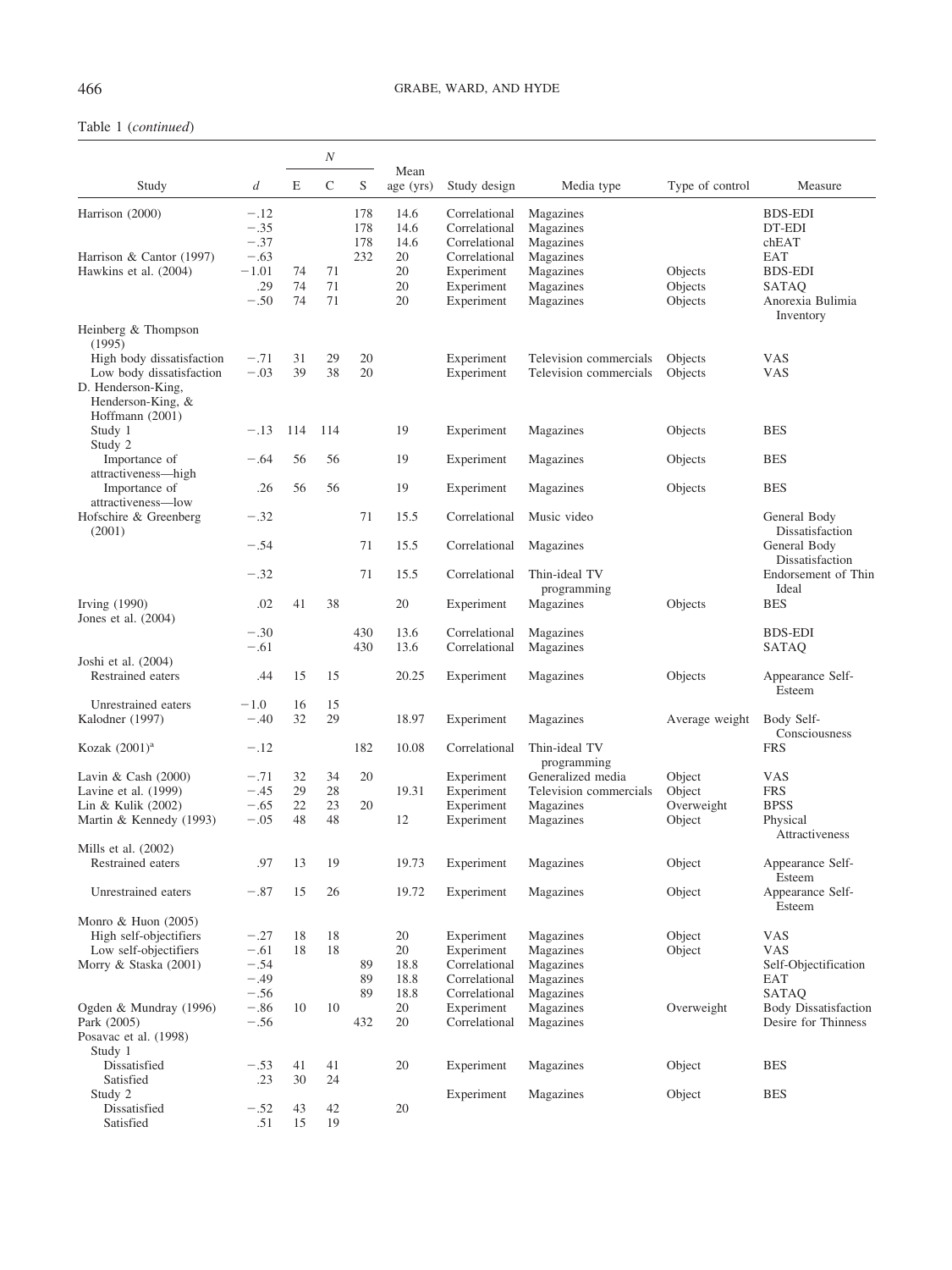# 466 GRABE, WARD, AND HYDE

# Table 1 (*continued*)

|                                                                                                                     |                                                |                | N              |                   |                                  |                                                                             |                                                               |                                |                                                                  |
|---------------------------------------------------------------------------------------------------------------------|------------------------------------------------|----------------|----------------|-------------------|----------------------------------|-----------------------------------------------------------------------------|---------------------------------------------------------------|--------------------------------|------------------------------------------------------------------|
| Study                                                                                                               | d                                              | E              | $\mathsf C$    | S                 | Mean<br>age (yrs)                | Study design                                                                | Media type                                                    | Type of control                | Measure                                                          |
| Harrison (2000)                                                                                                     | $-.12$<br>$-.35$<br>$-.37$                     |                |                | 178<br>178<br>178 | 14.6<br>14.6<br>14.6             | Correlational<br>Correlational<br>Correlational                             | Magazines<br>Magazines<br>Magazines                           |                                | <b>BDS-EDI</b><br>DT-EDI<br>chEAT                                |
| Harrison & Cantor (1997)<br>Hawkins et al. (2004)                                                                   | $-.63$<br>$-1.01$<br>.29<br>$-.50$             | 74<br>74<br>74 | 71<br>71<br>71 | 232               | 20<br>20<br>20<br>20             | Correlational<br>Experiment<br>Experiment<br>Experiment                     | Magazines<br>Magazines<br>Magazines<br>Magazines              | Objects<br>Objects<br>Objects  | EAT<br><b>BDS-EDI</b><br>SATAQ<br>Anorexia Bulimia               |
| Heinberg & Thompson<br>(1995)                                                                                       |                                                |                |                |                   |                                  |                                                                             |                                                               |                                | Inventory                                                        |
| High body dissatisfaction<br>Low body dissatisfaction<br>D. Henderson-King,<br>Henderson-King, &<br>Hoffmann (2001) | $-.71$<br>$-.03$                               | 31<br>39       | 29<br>38       | 20<br>20          |                                  | Experiment<br>Experiment                                                    | Television commercials<br>Television commercials              | Objects<br>Objects             | VAS<br>VAS                                                       |
| Study 1<br>Study 2                                                                                                  | $-.13$                                         | 114            | 114            |                   | 19                               | Experiment                                                                  | Magazines                                                     | Objects                        | <b>BES</b>                                                       |
| Importance of<br>attractiveness-high                                                                                | $-.64$                                         | 56             | 56             |                   | 19                               | Experiment                                                                  | Magazines                                                     | Objects                        | <b>BES</b>                                                       |
| Importance of<br>attractiveness-low                                                                                 | .26                                            | 56             | 56             |                   | 19                               | Experiment                                                                  | Magazines                                                     | Objects                        | <b>BES</b>                                                       |
| Hofschire & Greenberg<br>(2001)                                                                                     | $-.32$                                         |                |                | 71                | 15.5                             | Correlational                                                               | Music video                                                   |                                | General Body<br>Dissatisfaction                                  |
|                                                                                                                     | $-.54$                                         |                |                | 71                | 15.5                             | Correlational                                                               | Magazines                                                     |                                | General Body<br>Dissatisfaction                                  |
|                                                                                                                     | $-.32$                                         |                |                | 71                | 15.5                             | Correlational                                                               | Thin-ideal TV<br>programming                                  |                                | Endorsement of Thin<br>Ideal                                     |
| Irving $(1990)$<br>Jones et al. $(2004)$                                                                            | .02                                            | 41             | 38             |                   | 20                               | Experiment                                                                  | Magazines                                                     | Objects                        | <b>BES</b>                                                       |
|                                                                                                                     | $-.30$<br>$-.61$                               |                |                | 430<br>430        | 13.6<br>13.6                     | Correlational<br>Correlational                                              | Magazines<br>Magazines                                        |                                | <b>BDS-EDI</b><br>SATAQ                                          |
| Joshi et al. $(2004)$<br>Restrained eaters                                                                          | .44                                            | 15             | 15             |                   | 20.25                            | Experiment                                                                  | Magazines                                                     | Objects                        | Appearance Self-<br>Esteem                                       |
| Unrestrained eaters<br>Kalodner (1997)                                                                              | $-1.0$<br>$-.40$                               | 16<br>32       | 15<br>29       |                   | 18.97                            | Experiment                                                                  | Magazines                                                     | Average weight                 | Body Self-<br>Consciousness                                      |
| Kozak $(2001)^a$                                                                                                    | $-.12$                                         |                |                | 182               | 10.08                            | Correlational                                                               | Thin-ideal TV<br>programming                                  |                                | <b>FRS</b>                                                       |
| Lavin & Cash $(2000)$<br>Lavine et al. $(1999)$<br>Lin & Kulik $(2002)$                                             | $-.71$<br>$-.45$<br>$-.65$                     | 32<br>29<br>22 | 34<br>28<br>23 | 20<br>20          | 19.31                            | Experiment<br>Experiment<br>Experiment                                      | Generalized media<br>Television commercials<br>Magazines      | Object<br>Object<br>Overweight | VAS<br><b>FRS</b><br><b>BPSS</b>                                 |
| Martin & Kennedy (1993)                                                                                             | $-.05$                                         | 48             | 48             |                   | 12                               | Experiment                                                                  | Magazines                                                     | Object                         | Physical<br>Attractiveness                                       |
| Mills et al. $(2002)$<br>Restrained eaters                                                                          | .97                                            | 13             | 19             |                   | 19.73                            | Experiment                                                                  | Magazines                                                     | Object                         | Appearance Self-                                                 |
| Unrestrained eaters                                                                                                 | $-.87$                                         | 15             | 26             |                   | 19.72                            | Experiment                                                                  | Magazines                                                     | Object                         | Esteem<br>Appearance Self-                                       |
| Monro & Huon $(2005)$                                                                                               |                                                |                |                |                   |                                  |                                                                             |                                                               |                                | Esteem                                                           |
| High self-objectifiers<br>Low self-objectifiers<br>Morry & Staska (2001)                                            | $-.27$<br>$-.61$<br>$-.54$<br>$-.49$<br>$-.56$ | 18<br>18       | 18<br>18       | 89<br>89<br>89    | 20<br>20<br>18.8<br>18.8<br>18.8 | Experiment<br>Experiment<br>Correlational<br>Correlational<br>Correlational | Magazines<br>Magazines<br>Magazines<br>Magazines<br>Magazines | Object<br>Object               | <b>VAS</b><br><b>VAS</b><br>Self-Objectification<br>EAT<br>SATAQ |
| Ogden & Mundray (1996)<br>Park (2005)<br>Posavac et al. (1998)<br>Study 1                                           | $-.86$<br>$-.56$                               | 10             | 10             | 432               | 20<br>20                         | Experiment<br>Correlational                                                 | Magazines<br>Magazines                                        | Overweight                     | <b>Body Dissatisfaction</b><br>Desire for Thinness               |
| Dissatisfied<br>Satisfied                                                                                           | $-.53$<br>.23                                  | 41<br>30       | 41<br>24       |                   | 20                               | Experiment                                                                  | Magazines                                                     | Object                         | <b>BES</b>                                                       |
| Study 2<br>Dissatisfied<br>Satisfied                                                                                | $-.52$<br>.51                                  | 43<br>15       | 42<br>19       |                   | 20                               | Experiment                                                                  | Magazines                                                     | Object                         | <b>BES</b>                                                       |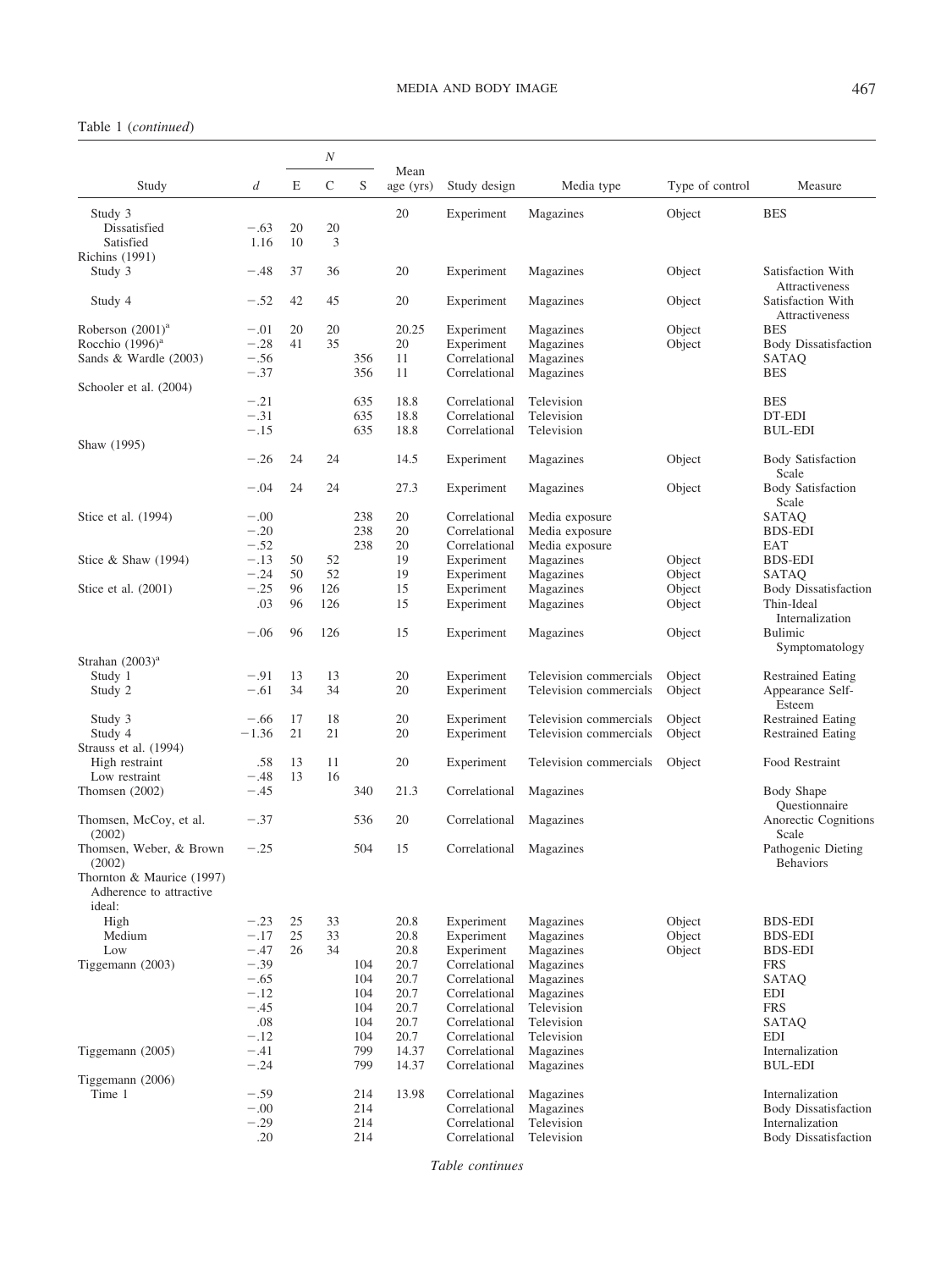# MEDIA AND BODY IMAGE 467

# Table 1 (*continued*)

|                                                                |                  |    | N           |     |                   |               |                        |                 |                                                       |
|----------------------------------------------------------------|------------------|----|-------------|-----|-------------------|---------------|------------------------|-----------------|-------------------------------------------------------|
| Study                                                          | $\boldsymbol{d}$ | E  | $\mathsf C$ | S   | Mean<br>age (yrs) | Study design  | Media type             | Type of control | Measure                                               |
| Study 3<br>Dissatisfied                                        | $-.63$           | 20 | 20          |     | 20                | Experiment    | Magazines              | Object          | <b>BES</b>                                            |
| Satisfied<br><b>Richins</b> (1991)                             | 1.16             | 10 | 3           |     |                   |               |                        |                 |                                                       |
| Study 3                                                        | $-.48$           | 37 | 36          |     | 20                | Experiment    | Magazines              | Object          | Satisfaction With                                     |
| Study 4                                                        | $-.52$           | 42 | 45          |     | 20                | Experiment    | Magazines              | Object          | Attractiveness<br>Satisfaction With<br>Attractiveness |
| Roberson $(2001)^a$                                            | $-.01$           | 20 | 20          |     | 20.25             | Experiment    | Magazines              | Object          | <b>BES</b>                                            |
| Rocchio $(1996)^a$                                             | $-.28$           | 41 | 35          |     | 20                | Experiment    | Magazines              | Object          | <b>Body Dissatisfaction</b>                           |
| Sands & Wardle (2003)                                          | $-.56$           |    |             | 356 | 11                | Correlational | Magazines              |                 | SATAQ                                                 |
|                                                                | $-.37$           |    |             | 356 | 11                | Correlational | Magazines              |                 | <b>BES</b>                                            |
| Schooler et al. (2004)                                         |                  |    |             |     |                   |               |                        |                 |                                                       |
|                                                                | $-.21$           |    |             | 635 | 18.8              | Correlational | Television             |                 | <b>BES</b>                                            |
|                                                                | $-.31$           |    |             | 635 | 18.8              | Correlational | Television             |                 | DT-EDI                                                |
| Shaw (1995)                                                    | $-.15$           |    |             | 635 | 18.8              | Correlational | Television             |                 | BUL-EDI                                               |
|                                                                | $-.26$           | 24 | 24          |     | 14.5              | Experiment    | Magazines              | Object          | <b>Body Satisfaction</b><br>Scale                     |
|                                                                | $-.04$           | 24 | 24          |     | 27.3              | Experiment    | Magazines              | Object          | <b>Body Satisfaction</b><br>Scale                     |
| Stice et al. (1994)                                            | $-.00$           |    |             | 238 | 20                | Correlational | Media exposure         |                 | SATAQ                                                 |
|                                                                | $-.20$           |    |             | 238 | 20                | Correlational | Media exposure         |                 | <b>BDS-EDI</b>                                        |
|                                                                | $-.52$           |    |             | 238 | 20                | Correlational | Media exposure         |                 | EAT                                                   |
| Stice & Shaw $(1994)$                                          | $-.13$           | 50 | 52          |     | 19                | Experiment    | Magazines              | Object          | <b>BDS-EDI</b>                                        |
|                                                                | $-.24$           | 50 | 52          |     | 19                | Experiment    | Magazines              | Object          | SATAQ                                                 |
| Stice et al. (2001)                                            | $-.25$           | 96 | 126         |     | 15                | Experiment    | Magazines              | Object          | <b>Body Dissatisfaction</b>                           |
|                                                                | .03              | 96 | 126         |     | 15                | Experiment    | Magazines              | Object          | Thin-Ideal                                            |
|                                                                | $-.06$           | 96 | 126         |     | 15                | Experiment    | Magazines              | Object          | Internalization<br>Bulimic<br>Symptomatology          |
| Strahan $(2003)^a$                                             |                  |    |             |     |                   |               |                        |                 |                                                       |
| Study 1                                                        | $-.91$           | 13 | 13          |     | 20                | Experiment    | Television commercials | Object          | <b>Restrained Eating</b>                              |
| Study 2                                                        | $-.61$           | 34 | 34          |     | 20                | Experiment    | Television commercials | Object          | Appearance Self-<br>Esteem                            |
| Study 3                                                        | $-.66$           | 17 | 18          |     | 20                | Experiment    | Television commercials | Object          | <b>Restrained Eating</b>                              |
| Study 4                                                        | $-1.36$          | 21 | 21          |     | 20                | Experiment    | Television commercials | Object          | <b>Restrained Eating</b>                              |
| Strauss et al. (1994)                                          |                  |    |             |     |                   |               |                        |                 |                                                       |
| High restraint                                                 | .58              | 13 | 11          |     | 20                | Experiment    | Television commercials | Object          | Food Restraint                                        |
| Low restraint                                                  | $-.48$           | 13 | 16          |     |                   |               |                        |                 |                                                       |
| Thomsen $(2002)$                                               | $-.45$           |    |             | 340 | 21.3              | Correlational | Magazines              |                 | Body Shape<br>Questionnaire                           |
| Thomsen, McCoy, et al.<br>(2002)                               | $-.37$           |    |             | 536 | 20                | Correlational | Magazines              |                 | Anorectic Cognitions<br>Scale                         |
| Thomsen, Weber, & Brown<br>(2002)                              | $-.25$           |    |             | 504 | 15                | Correlational | Magazines              |                 | Pathogenic Dieting<br><b>Behaviors</b>                |
| Thornton & Maurice (1997)<br>Adherence to attractive<br>ideal: |                  |    |             |     |                   |               |                        |                 |                                                       |
| High                                                           | $-.23$           | 25 | 33          |     | 20.8              | Experiment    | Magazines              | Object          | <b>BDS-EDI</b>                                        |
| Medium                                                         | $-.17$           | 25 | 33          |     | 20.8              | Experiment    | Magazines              | Object          | <b>BDS-EDI</b>                                        |
| Low                                                            | $-.47$           | 26 | 34          |     | 20.8              | Experiment    | Magazines              | Object          | <b>BDS-EDI</b>                                        |
| Tiggemann (2003)                                               | $-.39$           |    |             | 104 | 20.7              | Correlational | Magazines              |                 | <b>FRS</b>                                            |
|                                                                | $-.65$           |    |             | 104 | 20.7              | Correlational | Magazines              |                 | SATAQ                                                 |
|                                                                | $-.12$           |    |             | 104 | 20.7              | Correlational | Magazines              |                 | EDI                                                   |
|                                                                | $-.45$           |    |             | 104 | 20.7              | Correlational | Television             |                 | <b>FRS</b>                                            |
|                                                                | .08              |    |             | 104 | 20.7              | Correlational | Television             |                 | SATAQ                                                 |
|                                                                | $-.12$           |    |             | 104 | 20.7              | Correlational | Television             |                 | EDI                                                   |
| Tiggemann (2005)                                               | $-.41$           |    |             | 799 | 14.37             | Correlational | Magazines              |                 | Internalization<br><b>BUL-EDI</b>                     |
| Tiggemann (2006)                                               | $-.24$           |    |             | 799 | 14.37             | Correlational | Magazines              |                 |                                                       |
| Time 1                                                         | $-.59$           |    |             | 214 | 13.98             | Correlational | Magazines              |                 | Internalization                                       |
|                                                                | $-.00$           |    |             | 214 |                   | Correlational | Magazines              |                 | <b>Body Dissatisfaction</b>                           |
|                                                                | $-.29$           |    |             | 214 |                   | Correlational | Television             |                 | Internalization                                       |
|                                                                | .20              |    |             | 214 |                   | Correlational | Television             |                 | <b>Body Dissatisfaction</b>                           |
|                                                                |                  |    |             |     |                   |               |                        |                 |                                                       |

*Table continues*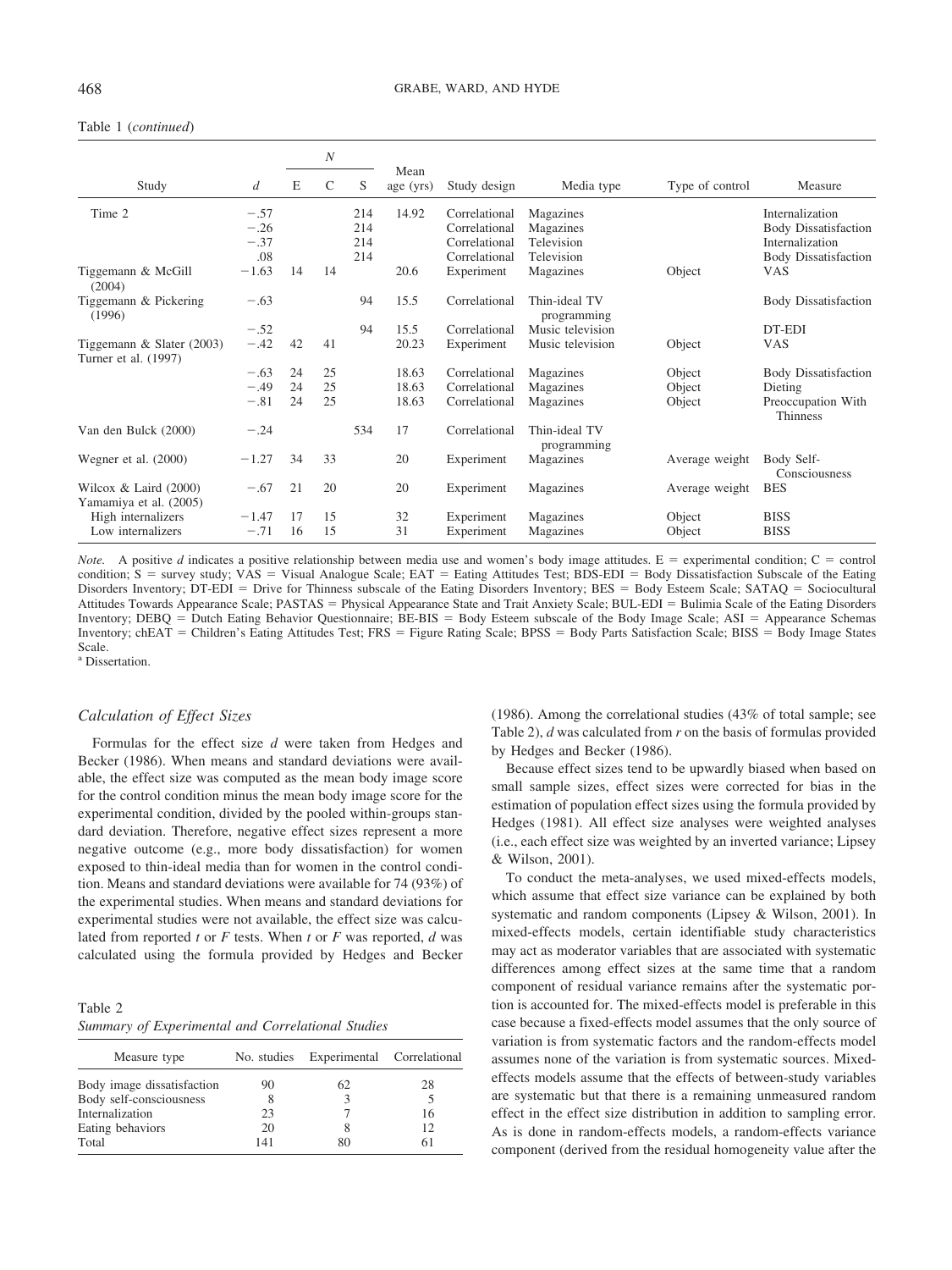### Table 1 (*continued*)

|                                                   |         |    | N             |     |                   |               |                              |                 |                                       |
|---------------------------------------------------|---------|----|---------------|-----|-------------------|---------------|------------------------------|-----------------|---------------------------------------|
| Study                                             | d       | E  | $\mathcal{C}$ | S   | Mean<br>age (yrs) | Study design  | Media type                   | Type of control | Measure                               |
| Time 2                                            | $-.57$  |    |               | 214 | 14.92             | Correlational | Magazines                    |                 | Internalization                       |
|                                                   | $-.26$  |    |               | 214 |                   | Correlational | Magazines                    |                 | <b>Body Dissatisfaction</b>           |
|                                                   | $-.37$  |    |               | 214 |                   | Correlational | Television                   |                 | Internalization                       |
|                                                   | .08     |    |               | 214 |                   | Correlational | Television                   |                 | <b>Body Dissatisfaction</b>           |
| Tiggemann & McGill<br>(2004)                      | $-1.63$ | 14 | 14            |     | 20.6              | Experiment    | Magazines                    | Object          | <b>VAS</b>                            |
| Tiggemann & Pickering<br>(1996)                   | $-.63$  |    |               | 94  | 15.5              | Correlational | Thin-ideal TV<br>programming |                 | <b>Body Dissatisfaction</b>           |
|                                                   | $-.52$  |    |               | 94  | 15.5              | Correlational | Music television             |                 | DT-EDI                                |
| Tiggemann & Slater (2003)<br>Turner et al. (1997) | $-.42$  | 42 | 41            |     | 20.23             | Experiment    | Music television             | Object          | <b>VAS</b>                            |
|                                                   | $-.63$  | 24 | 25            |     | 18.63             | Correlational | Magazines                    | Object          | <b>Body Dissatisfaction</b>           |
|                                                   | $-.49$  | 24 | 25            |     | 18.63             | Correlational | Magazines                    | Object          | Dieting                               |
|                                                   | $-.81$  | 24 | 25            |     | 18.63             | Correlational | Magazines                    | Object          | Preoccupation With<br><b>Thinness</b> |
| Van den Bulck (2000)                              | $-.24$  |    |               | 534 | 17                | Correlational | Thin-ideal TV<br>programming |                 |                                       |
| Wegner et al. $(2000)$                            | $-1.27$ | 34 | 33            |     | 20                | Experiment    | Magazines                    | Average weight  | Body Self-<br>Consciousness           |
| Wilcox & Laird $(2000)$<br>Yamamiya et al. (2005) | $-.67$  | 21 | 20            |     | 20                | Experiment    | Magazines                    | Average weight  | <b>BES</b>                            |
| High internalizers                                | $-1.47$ | 17 | 15            |     | 32                | Experiment    | Magazines                    | Object          | <b>BISS</b>                           |
| Low internalizers                                 | $-.71$  | 16 | 15            |     | 31                | Experiment    | Magazines                    | Object          | <b>BISS</b>                           |

*Note.* A positive *d* indicates a positive relationship between media use and women's body image attitudes.  $E =$  experimental condition;  $C =$  control condition;  $S =$  survey study; VAS = Visual Analogue Scale; EAT = Eating Attitudes Test; BDS-EDI = Body Dissatisfaction Subscale of the Eating Disorders Inventory; DT-EDI = Drive for Thinness subscale of the Eating Disorders Inventory; BES = Body Esteem Scale; SATAQ = Sociocultural Attitudes Towards Appearance Scale; PASTAS = Physical Appearance State and Trait Anxiety Scale; BUL-EDI = Bulimia Scale of the Eating Disorders Inventory; DEBQ = Dutch Eating Behavior Questionnaire; BE-BIS = Body Esteem subscale of the Body Image Scale; ASI = Appearance Schemas Inventory; chEAT = Children's Eating Attitudes Test; FRS = Figure Rating Scale; BPSS = Body Parts Satisfaction Scale; BISS = Body Image States Scale.

<sup>a</sup> Dissertation.

# *Calculation of Effect Sizes*

Formulas for the effect size *d* were taken from Hedges and Becker (1986). When means and standard deviations were available, the effect size was computed as the mean body image score for the control condition minus the mean body image score for the experimental condition, divided by the pooled within-groups standard deviation. Therefore, negative effect sizes represent a more negative outcome (e.g., more body dissatisfaction) for women exposed to thin-ideal media than for women in the control condition. Means and standard deviations were available for 74 (93%) of the experimental studies. When means and standard deviations for experimental studies were not available, the effect size was calculated from reported *t* or *F* tests. When *t* or *F* was reported, *d* was calculated using the formula provided by Hedges and Becker

Table 2 *Summary of Experimental and Correlational Studies*

| Measure type               | No. studies | Experimental Correlational |    |
|----------------------------|-------------|----------------------------|----|
| Body image dissatisfaction | 90          | 62                         | 28 |
| Body self-consciousness    |             |                            |    |
| Internalization            | 23          |                            | 16 |
| Eating behaviors           | 20          |                            | 12 |
| Total                      | 141         | 80                         | 61 |

(1986). Among the correlational studies (43% of total sample; see Table 2), *d* was calculated from *r* on the basis of formulas provided by Hedges and Becker (1986).

Because effect sizes tend to be upwardly biased when based on small sample sizes, effect sizes were corrected for bias in the estimation of population effect sizes using the formula provided by Hedges (1981). All effect size analyses were weighted analyses (i.e., each effect size was weighted by an inverted variance; Lipsey & Wilson, 2001).

To conduct the meta-analyses, we used mixed-effects models, which assume that effect size variance can be explained by both systematic and random components (Lipsey & Wilson, 2001). In mixed-effects models, certain identifiable study characteristics may act as moderator variables that are associated with systematic differences among effect sizes at the same time that a random component of residual variance remains after the systematic portion is accounted for. The mixed-effects model is preferable in this case because a fixed-effects model assumes that the only source of variation is from systematic factors and the random-effects model assumes none of the variation is from systematic sources. Mixedeffects models assume that the effects of between-study variables are systematic but that there is a remaining unmeasured random effect in the effect size distribution in addition to sampling error. As is done in random-effects models, a random-effects variance component (derived from the residual homogeneity value after the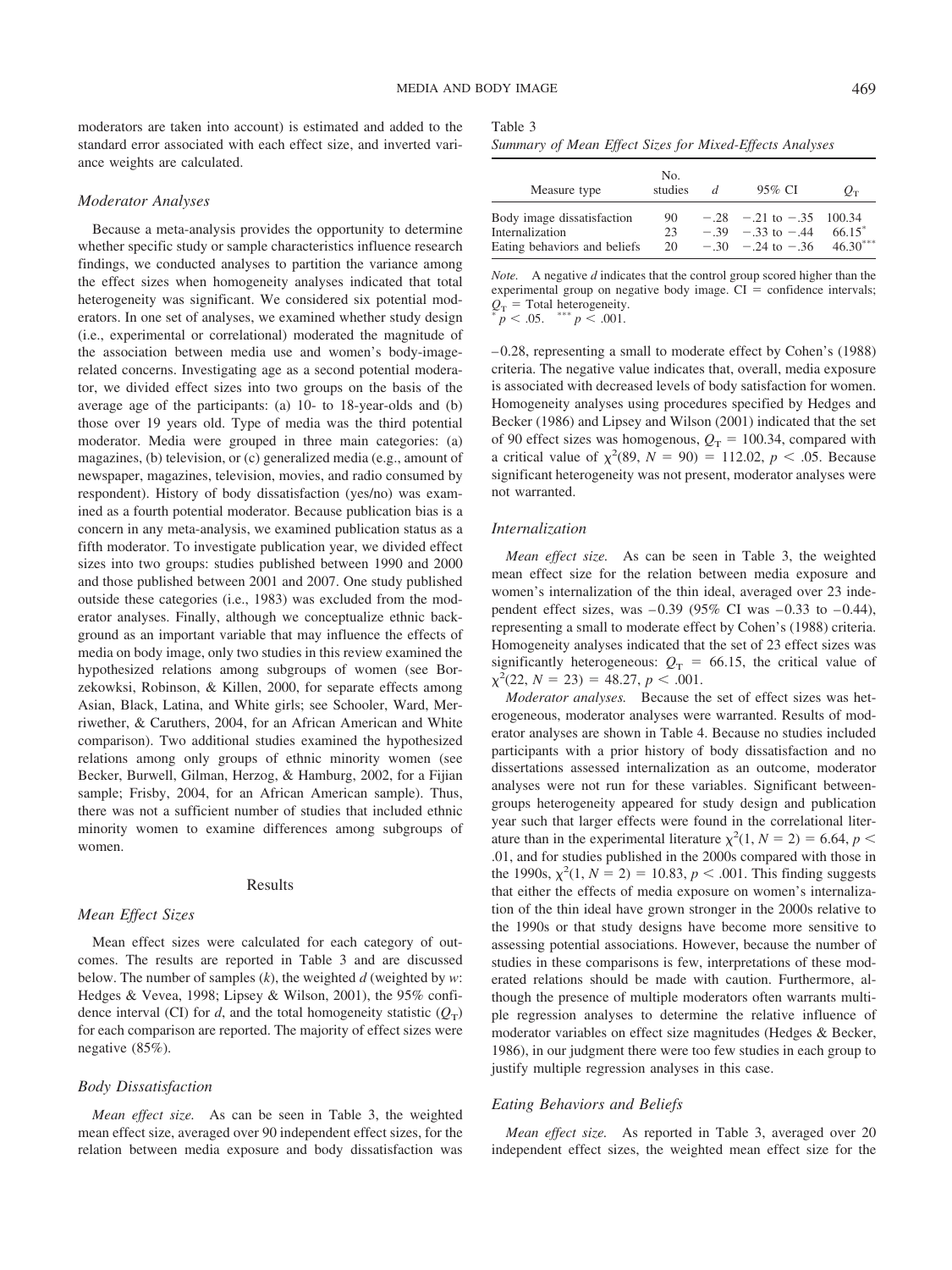moderators are taken into account) is estimated and added to the standard error associated with each effect size, and inverted variance weights are calculated.

#### *Moderator Analyses*

Because a meta-analysis provides the opportunity to determine whether specific study or sample characteristics influence research findings, we conducted analyses to partition the variance among the effect sizes when homogeneity analyses indicated that total heterogeneity was significant. We considered six potential moderators. In one set of analyses, we examined whether study design (i.e., experimental or correlational) moderated the magnitude of the association between media use and women's body-imagerelated concerns. Investigating age as a second potential moderator, we divided effect sizes into two groups on the basis of the average age of the participants: (a) 10- to 18-year-olds and (b) those over 19 years old. Type of media was the third potential moderator. Media were grouped in three main categories: (a) magazines, (b) television, or (c) generalized media (e.g., amount of newspaper, magazines, television, movies, and radio consumed by respondent). History of body dissatisfaction (yes/no) was examined as a fourth potential moderator. Because publication bias is a concern in any meta-analysis, we examined publication status as a fifth moderator. To investigate publication year, we divided effect sizes into two groups: studies published between 1990 and 2000 and those published between 2001 and 2007. One study published outside these categories (i.e., 1983) was excluded from the moderator analyses. Finally, although we conceptualize ethnic background as an important variable that may influence the effects of media on body image, only two studies in this review examined the hypothesized relations among subgroups of women (see Borzekowksi, Robinson, & Killen, 2000, for separate effects among Asian, Black, Latina, and White girls; see Schooler, Ward, Merriwether, & Caruthers, 2004, for an African American and White comparison). Two additional studies examined the hypothesized relations among only groups of ethnic minority women (see Becker, Burwell, Gilman, Herzog, & Hamburg, 2002, for a Fijian sample; Frisby, 2004, for an African American sample). Thus, there was not a sufficient number of studies that included ethnic minority women to examine differences among subgroups of women.

#### Results

## *Mean Effect Sizes*

Mean effect sizes were calculated for each category of outcomes. The results are reported in Table 3 and are discussed below. The number of samples (*k*), the weighted *d* (weighted by *w*: Hedges & Vevea, 1998; Lipsey & Wilson, 2001), the 95% confidence interval (CI) for *d*, and the total homogeneity statistic  $(Q_T)$ for each comparison are reported. The majority of effect sizes were negative (85%).

#### *Body Dissatisfaction*

*Mean effect size.* As can be seen in Table 3, the weighted mean effect size, averaged over 90 independent effect sizes, for the relation between media exposure and body dissatisfaction was

| Table 3                                                 |  |  |  |
|---------------------------------------------------------|--|--|--|
| Summary of Mean Effect Sizes for Mixed-Effects Analyses |  |  |  |

| Measure type                                                                  | No.<br>studies | d | 95% CI                                                                          | $O_{\rm T}$         |
|-------------------------------------------------------------------------------|----------------|---|---------------------------------------------------------------------------------|---------------------|
| Body image dissatisfaction<br>Internalization<br>Eating behaviors and beliefs | 90<br>23<br>20 |   | $-.28$ $-.21$ to $-.35$ 100.34<br>$-.39 - .33$ to $-.44$<br>$-30 - 24$ to $-36$ | 66.15<br>$46.30***$ |

*Note.* A negative *d* indicates that the control group scored higher than the experimental group on negative body image.  $CI =$  confidence intervals;  $Q_T$  = Total heterogeneity.<br>
\* *p* < .05. \*\*\* *p* < .001.

– 0.28, representing a small to moderate effect by Cohen's (1988) criteria. The negative value indicates that, overall, media exposure is associated with decreased levels of body satisfaction for women. Homogeneity analyses using procedures specified by Hedges and Becker (1986) and Lipsey and Wilson (2001) indicated that the set of 90 effect sizes was homogenous,  $Q_T = 100.34$ , compared with a critical value of  $\chi^2(89, N = 90) = 112.02, p < .05$ . Because significant heterogeneity was not present, moderator analyses were not warranted.

### *Internalization*

*Mean effect size.* As can be seen in Table 3, the weighted mean effect size for the relation between media exposure and women's internalization of the thin ideal, averaged over 23 independent effect sizes, was  $-0.39$  (95% CI was  $-0.33$  to  $-0.44$ ), representing a small to moderate effect by Cohen's (1988) criteria. Homogeneity analyses indicated that the set of 23 effect sizes was significantly heterogeneous:  $Q_T = 66.15$ , the critical value of  $\chi^2(22, N = 23) = 48.27, p < .001.$ 

*Moderator analyses.* Because the set of effect sizes was heterogeneous, moderator analyses were warranted. Results of moderator analyses are shown in Table 4. Because no studies included participants with a prior history of body dissatisfaction and no dissertations assessed internalization as an outcome, moderator analyses were not run for these variables. Significant betweengroups heterogeneity appeared for study design and publication year such that larger effects were found in the correlational literature than in the experimental literature  $\chi^2(1, N = 2) = 6.64$ ,  $p <$ .01, and for studies published in the 2000s compared with those in the 1990s,  $\chi^2(1, N = 2) = 10.83, p < .001$ . This finding suggests that either the effects of media exposure on women's internalization of the thin ideal have grown stronger in the 2000s relative to the 1990s or that study designs have become more sensitive to assessing potential associations. However, because the number of studies in these comparisons is few, interpretations of these moderated relations should be made with caution. Furthermore, although the presence of multiple moderators often warrants multiple regression analyses to determine the relative influence of moderator variables on effect size magnitudes (Hedges & Becker, 1986), in our judgment there were too few studies in each group to justify multiple regression analyses in this case.

#### *Eating Behaviors and Beliefs*

*Mean effect size.* As reported in Table 3, averaged over 20 independent effect sizes, the weighted mean effect size for the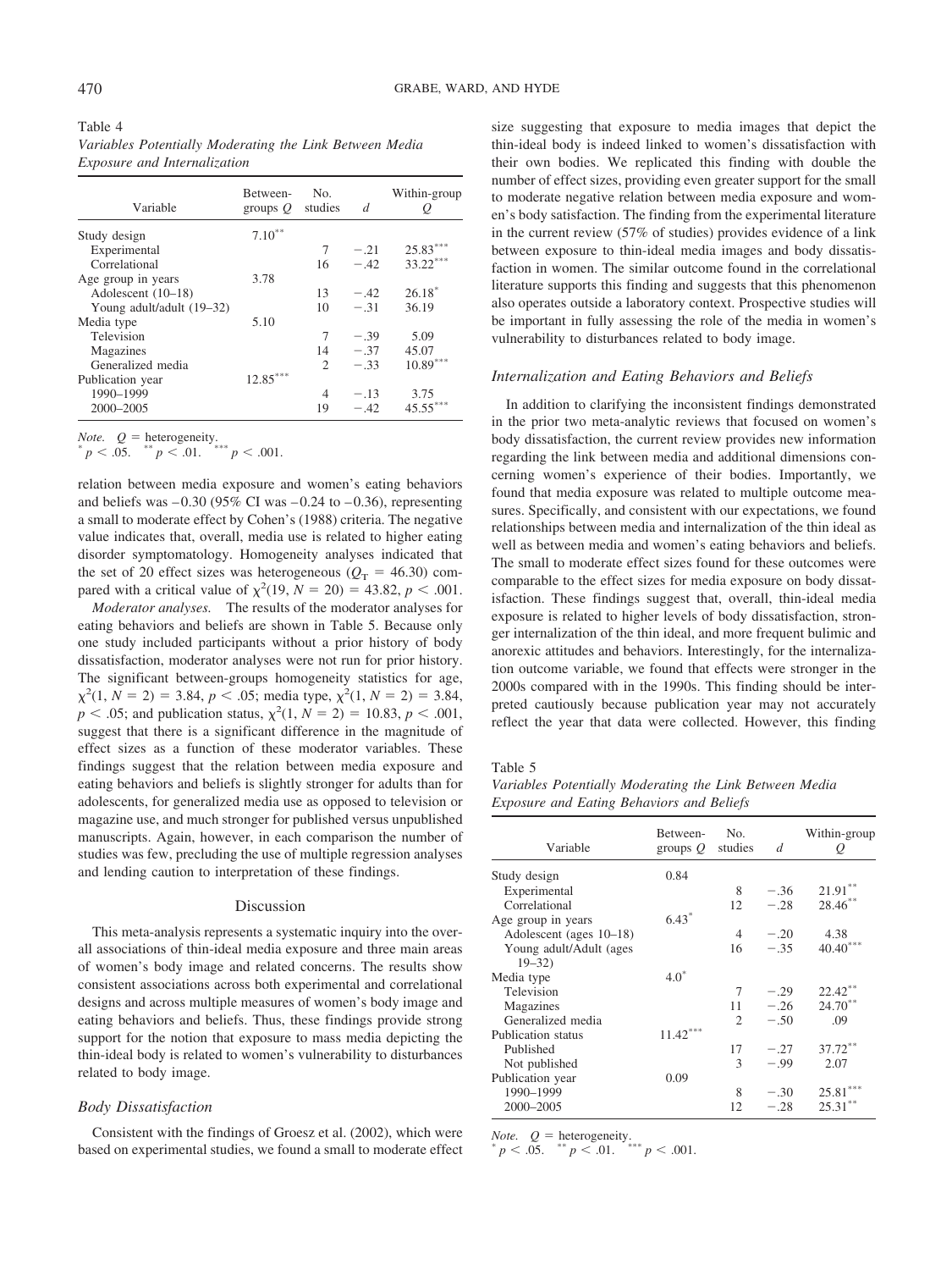| Table 4 |                                     |                                                         |  |  |
|---------|-------------------------------------|---------------------------------------------------------|--|--|
|         |                                     | Variables Potentially Moderating the Link Between Media |  |  |
|         | <i>Exposure and Internalization</i> |                                                         |  |  |

| Variable                  | Between-<br>groups $Q$ | No.<br>studies | d      | Within-group<br>Q |
|---------------------------|------------------------|----------------|--------|-------------------|
| Study design              | $7.10***$              |                |        |                   |
| Experimental              |                        | 7              | $-.21$ | 25.83             |
| Correlational             |                        | 16             | $-.42$ | $33.22***$        |
| Age group in years        | 3.78                   |                |        |                   |
| Adolescent (10-18)        |                        | 13             | $-.42$ | $26.18*$          |
| Young adult/adult (19–32) |                        | 10             | $-31$  | 36.19             |
| Media type                | 5.10                   |                |        |                   |
| Television                |                        | 7              | $-.39$ | 5.09              |
| Magazines                 |                        | 14             | $-.37$ | 45.07             |
| Generalized media         |                        | $\mathfrak{D}$ | $-33$  | $10.89***$        |
| Publication year          | $12.85^{\ast\ast\ast}$ |                |        |                   |
| 1990-1999                 |                        | 4              | $-.13$ | 3.75              |
| 2000-2005                 |                        | 19             | $-42$  | 45.55             |

*Note.*  $Q = \text{heterogeneity}$ <br>\*\*  $\sim$  01. \*\*\* *p* < .001.

relation between media exposure and women's eating behaviors and beliefs was  $-0.30$  (95% CI was  $-0.24$  to  $-0.36$ ), representing a small to moderate effect by Cohen's (1988) criteria. The negative value indicates that, overall, media use is related to higher eating disorder symptomatology. Homogeneity analyses indicated that the set of 20 effect sizes was heterogeneous ( $Q_T$  = 46.30) compared with a critical value of  $\chi^2(19, N = 20) = 43.82, p < .001$ .

*Moderator analyses.* The results of the moderator analyses for eating behaviors and beliefs are shown in Table 5. Because only one study included participants without a prior history of body dissatisfaction, moderator analyses were not run for prior history. The significant between-groups homogeneity statistics for age,  $\chi^2(1, N = 2) = 3.84, p < .05$ ; media type,  $\chi^2(1, N = 2) = 3.84$ ,  $p < .05$ ; and publication status,  $\chi^2(1, N = 2) = 10.83, p < .001$ , suggest that there is a significant difference in the magnitude of effect sizes as a function of these moderator variables. These findings suggest that the relation between media exposure and eating behaviors and beliefs is slightly stronger for adults than for adolescents, for generalized media use as opposed to television or magazine use, and much stronger for published versus unpublished manuscripts. Again, however, in each comparison the number of studies was few, precluding the use of multiple regression analyses and lending caution to interpretation of these findings.

## Discussion

This meta-analysis represents a systematic inquiry into the overall associations of thin-ideal media exposure and three main areas of women's body image and related concerns. The results show consistent associations across both experimental and correlational designs and across multiple measures of women's body image and eating behaviors and beliefs. Thus, these findings provide strong support for the notion that exposure to mass media depicting the thin-ideal body is related to women's vulnerability to disturbances related to body image.

#### *Body Dissatisfaction*

Consistent with the findings of Groesz et al. (2002), which were based on experimental studies, we found a small to moderate effect size suggesting that exposure to media images that depict the thin-ideal body is indeed linked to women's dissatisfaction with their own bodies. We replicated this finding with double the number of effect sizes, providing even greater support for the small to moderate negative relation between media exposure and women's body satisfaction. The finding from the experimental literature in the current review (57% of studies) provides evidence of a link between exposure to thin-ideal media images and body dissatisfaction in women. The similar outcome found in the correlational literature supports this finding and suggests that this phenomenon also operates outside a laboratory context. Prospective studies will be important in fully assessing the role of the media in women's vulnerability to disturbances related to body image.

#### *Internalization and Eating Behaviors and Beliefs*

In addition to clarifying the inconsistent findings demonstrated in the prior two meta-analytic reviews that focused on women's body dissatisfaction, the current review provides new information regarding the link between media and additional dimensions concerning women's experience of their bodies. Importantly, we found that media exposure was related to multiple outcome measures. Specifically, and consistent with our expectations, we found relationships between media and internalization of the thin ideal as well as between media and women's eating behaviors and beliefs. The small to moderate effect sizes found for these outcomes were comparable to the effect sizes for media exposure on body dissatisfaction. These findings suggest that, overall, thin-ideal media exposure is related to higher levels of body dissatisfaction, stronger internalization of the thin ideal, and more frequent bulimic and anorexic attitudes and behaviors. Interestingly, for the internalization outcome variable, we found that effects were stronger in the 2000s compared with in the 1990s. This finding should be interpreted cautiously because publication year may not accurately reflect the year that data were collected. However, this finding

Table 5

*Variables Potentially Moderating the Link Between Media Exposure and Eating Behaviors and Beliefs*

| Variable                             | Between-<br>groups $Q$ | No.<br>studies | d      | Within-group<br>$\varrho$ |
|--------------------------------------|------------------------|----------------|--------|---------------------------|
| Study design                         | 0.84                   |                |        |                           |
| Experimental                         |                        | 8              | $-.36$ | 21.91                     |
| Correlational                        |                        | 12             | $-.28$ | 28.46**                   |
| Age group in years                   | $6.43*$                |                |        |                           |
| Adolescent (ages 10–18)              |                        | 4              | $-.20$ | 4.38                      |
| Young adult/Adult (ages<br>$19 - 32$ |                        | 16             | $-35$  | $40.40***$                |
| Media type                           | $4.0^*$                |                |        |                           |
| Television                           |                        | 7              | $-.29$ | $22.42***$                |
| Magazines                            |                        | 11             | $-.26$ | $24.70***$                |
| Generalized media                    |                        | $\mathfrak{D}$ | $-.50$ | .09                       |
| Publication status                   | $11.42***$             |                |        |                           |
| Published                            |                        | 17             | $-.27$ | $37.72***$                |
| Not published                        |                        | 3              | $-.99$ | 2.07                      |
| Publication year                     | 0.09                   |                |        |                           |
| 1990-1999                            |                        | 8              | $-.30$ | 25.81                     |
| 2000-2005                            |                        | 12             | $-.28$ | 25.31                     |

*Note.*  $Q =$  heterogeneity.<br>\*  $p < .05$ . \*\*  $p < .01$ . \*\*\*  $p < .001$ .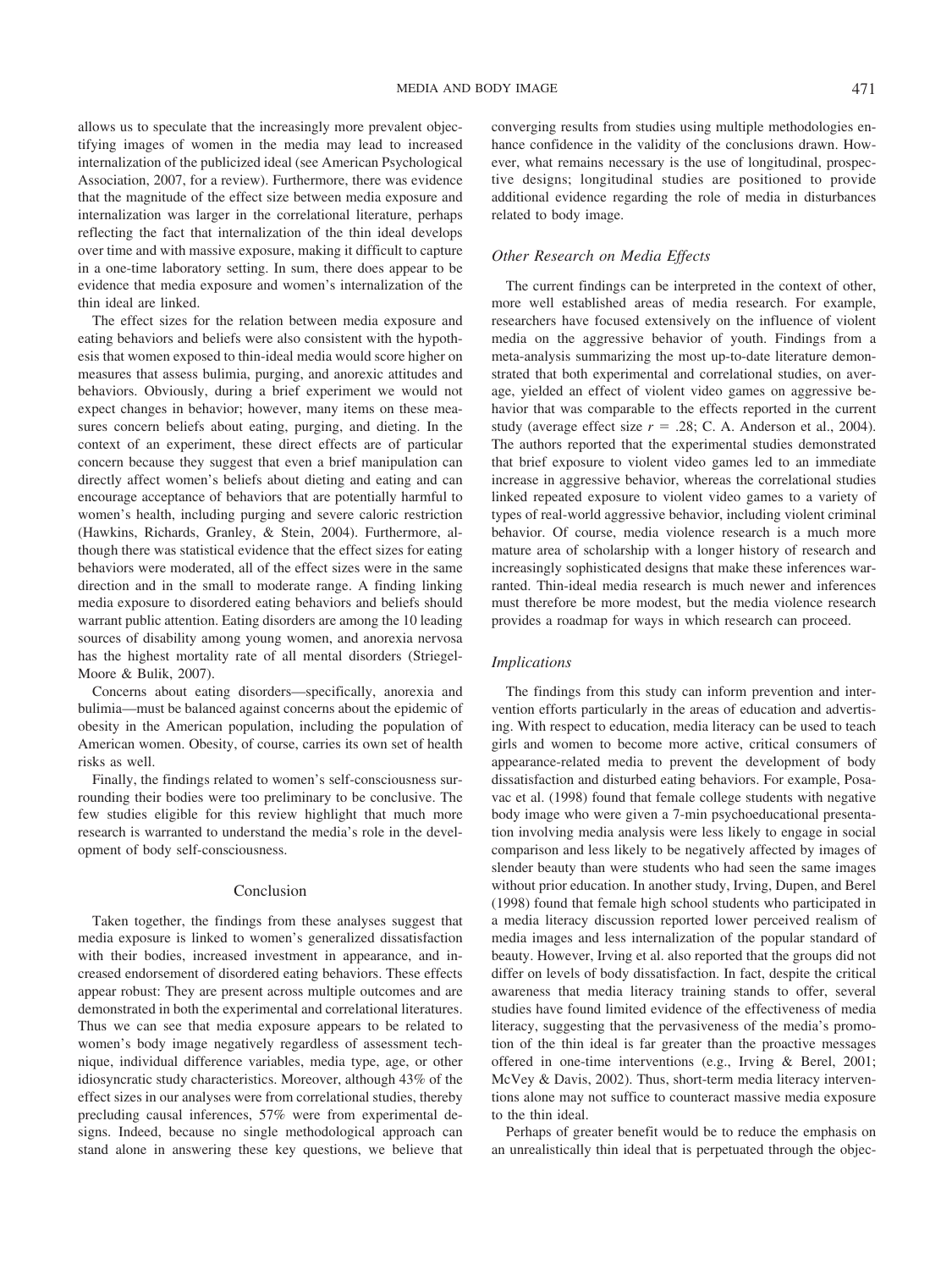allows us to speculate that the increasingly more prevalent objectifying images of women in the media may lead to increased internalization of the publicized ideal (see American Psychological Association, 2007, for a review). Furthermore, there was evidence that the magnitude of the effect size between media exposure and internalization was larger in the correlational literature, perhaps reflecting the fact that internalization of the thin ideal develops over time and with massive exposure, making it difficult to capture in a one-time laboratory setting. In sum, there does appear to be evidence that media exposure and women's internalization of the thin ideal are linked.

The effect sizes for the relation between media exposure and eating behaviors and beliefs were also consistent with the hypothesis that women exposed to thin-ideal media would score higher on measures that assess bulimia, purging, and anorexic attitudes and behaviors. Obviously, during a brief experiment we would not expect changes in behavior; however, many items on these measures concern beliefs about eating, purging, and dieting. In the context of an experiment, these direct effects are of particular concern because they suggest that even a brief manipulation can directly affect women's beliefs about dieting and eating and can encourage acceptance of behaviors that are potentially harmful to women's health, including purging and severe caloric restriction (Hawkins, Richards, Granley, & Stein, 2004). Furthermore, although there was statistical evidence that the effect sizes for eating behaviors were moderated, all of the effect sizes were in the same direction and in the small to moderate range. A finding linking media exposure to disordered eating behaviors and beliefs should warrant public attention. Eating disorders are among the 10 leading sources of disability among young women, and anorexia nervosa has the highest mortality rate of all mental disorders (Striegel-Moore & Bulik, 2007).

Concerns about eating disorders—specifically, anorexia and bulimia—must be balanced against concerns about the epidemic of obesity in the American population, including the population of American women. Obesity, of course, carries its own set of health risks as well.

Finally, the findings related to women's self-consciousness surrounding their bodies were too preliminary to be conclusive. The few studies eligible for this review highlight that much more research is warranted to understand the media's role in the development of body self-consciousness.

## Conclusion

Taken together, the findings from these analyses suggest that media exposure is linked to women's generalized dissatisfaction with their bodies, increased investment in appearance, and increased endorsement of disordered eating behaviors. These effects appear robust: They are present across multiple outcomes and are demonstrated in both the experimental and correlational literatures. Thus we can see that media exposure appears to be related to women's body image negatively regardless of assessment technique, individual difference variables, media type, age, or other idiosyncratic study characteristics. Moreover, although 43% of the effect sizes in our analyses were from correlational studies, thereby precluding causal inferences, 57% were from experimental designs. Indeed, because no single methodological approach can stand alone in answering these key questions, we believe that converging results from studies using multiple methodologies enhance confidence in the validity of the conclusions drawn. However, what remains necessary is the use of longitudinal, prospective designs; longitudinal studies are positioned to provide additional evidence regarding the role of media in disturbances related to body image.

# *Other Research on Media Effects*

The current findings can be interpreted in the context of other, more well established areas of media research. For example, researchers have focused extensively on the influence of violent media on the aggressive behavior of youth. Findings from a meta-analysis summarizing the most up-to-date literature demonstrated that both experimental and correlational studies, on average, yielded an effect of violent video games on aggressive behavior that was comparable to the effects reported in the current study (average effect size  $r = .28$ ; C. A. Anderson et al., 2004). The authors reported that the experimental studies demonstrated that brief exposure to violent video games led to an immediate increase in aggressive behavior, whereas the correlational studies linked repeated exposure to violent video games to a variety of types of real-world aggressive behavior, including violent criminal behavior. Of course, media violence research is a much more mature area of scholarship with a longer history of research and increasingly sophisticated designs that make these inferences warranted. Thin-ideal media research is much newer and inferences must therefore be more modest, but the media violence research provides a roadmap for ways in which research can proceed.

# *Implications*

The findings from this study can inform prevention and intervention efforts particularly in the areas of education and advertising. With respect to education, media literacy can be used to teach girls and women to become more active, critical consumers of appearance-related media to prevent the development of body dissatisfaction and disturbed eating behaviors. For example, Posavac et al. (1998) found that female college students with negative body image who were given a 7-min psychoeducational presentation involving media analysis were less likely to engage in social comparison and less likely to be negatively affected by images of slender beauty than were students who had seen the same images without prior education. In another study, Irving, Dupen, and Berel (1998) found that female high school students who participated in a media literacy discussion reported lower perceived realism of media images and less internalization of the popular standard of beauty. However, Irving et al. also reported that the groups did not differ on levels of body dissatisfaction. In fact, despite the critical awareness that media literacy training stands to offer, several studies have found limited evidence of the effectiveness of media literacy, suggesting that the pervasiveness of the media's promotion of the thin ideal is far greater than the proactive messages offered in one-time interventions (e.g., Irving & Berel, 2001; McVey & Davis, 2002). Thus, short-term media literacy interventions alone may not suffice to counteract massive media exposure to the thin ideal.

Perhaps of greater benefit would be to reduce the emphasis on an unrealistically thin ideal that is perpetuated through the objec-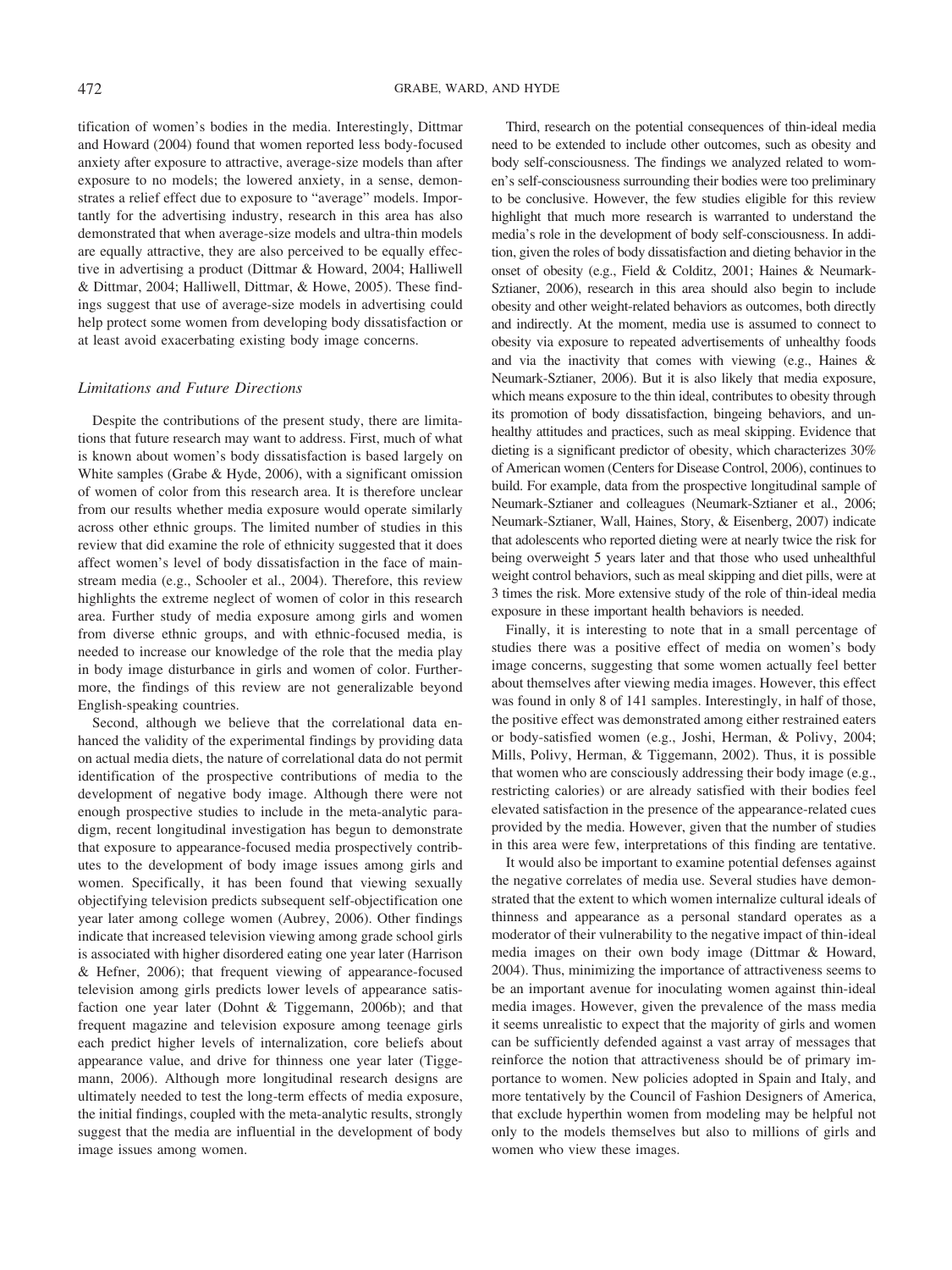tification of women's bodies in the media. Interestingly, Dittmar and Howard (2004) found that women reported less body-focused anxiety after exposure to attractive, average-size models than after exposure to no models; the lowered anxiety, in a sense, demonstrates a relief effect due to exposure to "average" models. Importantly for the advertising industry, research in this area has also demonstrated that when average-size models and ultra-thin models are equally attractive, they are also perceived to be equally effective in advertising a product (Dittmar & Howard, 2004; Halliwell & Dittmar, 2004; Halliwell, Dittmar, & Howe, 2005). These findings suggest that use of average-size models in advertising could help protect some women from developing body dissatisfaction or at least avoid exacerbating existing body image concerns.

## *Limitations and Future Directions*

Despite the contributions of the present study, there are limitations that future research may want to address. First, much of what is known about women's body dissatisfaction is based largely on White samples (Grabe & Hyde, 2006), with a significant omission of women of color from this research area. It is therefore unclear from our results whether media exposure would operate similarly across other ethnic groups. The limited number of studies in this review that did examine the role of ethnicity suggested that it does affect women's level of body dissatisfaction in the face of mainstream media (e.g., Schooler et al., 2004). Therefore, this review highlights the extreme neglect of women of color in this research area. Further study of media exposure among girls and women from diverse ethnic groups, and with ethnic-focused media, is needed to increase our knowledge of the role that the media play in body image disturbance in girls and women of color. Furthermore, the findings of this review are not generalizable beyond English-speaking countries.

Second, although we believe that the correlational data enhanced the validity of the experimental findings by providing data on actual media diets, the nature of correlational data do not permit identification of the prospective contributions of media to the development of negative body image. Although there were not enough prospective studies to include in the meta-analytic paradigm, recent longitudinal investigation has begun to demonstrate that exposure to appearance-focused media prospectively contributes to the development of body image issues among girls and women. Specifically, it has been found that viewing sexually objectifying television predicts subsequent self-objectification one year later among college women (Aubrey, 2006). Other findings indicate that increased television viewing among grade school girls is associated with higher disordered eating one year later (Harrison & Hefner, 2006); that frequent viewing of appearance-focused television among girls predicts lower levels of appearance satisfaction one year later (Dohnt & Tiggemann, 2006b); and that frequent magazine and television exposure among teenage girls each predict higher levels of internalization, core beliefs about appearance value, and drive for thinness one year later (Tiggemann, 2006). Although more longitudinal research designs are ultimately needed to test the long-term effects of media exposure, the initial findings, coupled with the meta-analytic results, strongly suggest that the media are influential in the development of body image issues among women.

Third, research on the potential consequences of thin-ideal media need to be extended to include other outcomes, such as obesity and body self-consciousness. The findings we analyzed related to women's self-consciousness surrounding their bodies were too preliminary to be conclusive. However, the few studies eligible for this review highlight that much more research is warranted to understand the media's role in the development of body self-consciousness. In addition, given the roles of body dissatisfaction and dieting behavior in the onset of obesity (e.g., Field & Colditz, 2001; Haines & Neumark-Sztianer, 2006), research in this area should also begin to include obesity and other weight-related behaviors as outcomes, both directly and indirectly. At the moment, media use is assumed to connect to obesity via exposure to repeated advertisements of unhealthy foods and via the inactivity that comes with viewing (e.g., Haines & Neumark-Sztianer, 2006). But it is also likely that media exposure, which means exposure to the thin ideal, contributes to obesity through its promotion of body dissatisfaction, bingeing behaviors, and unhealthy attitudes and practices, such as meal skipping. Evidence that dieting is a significant predictor of obesity, which characterizes 30% of American women (Centers for Disease Control, 2006), continues to build. For example, data from the prospective longitudinal sample of Neumark-Sztianer and colleagues (Neumark-Sztianer et al., 2006; Neumark-Sztianer, Wall, Haines, Story, & Eisenberg, 2007) indicate that adolescents who reported dieting were at nearly twice the risk for being overweight 5 years later and that those who used unhealthful weight control behaviors, such as meal skipping and diet pills, were at 3 times the risk. More extensive study of the role of thin-ideal media exposure in these important health behaviors is needed.

Finally, it is interesting to note that in a small percentage of studies there was a positive effect of media on women's body image concerns, suggesting that some women actually feel better about themselves after viewing media images. However, this effect was found in only 8 of 141 samples. Interestingly, in half of those, the positive effect was demonstrated among either restrained eaters or body-satisfied women (e.g., Joshi, Herman, & Polivy, 2004; Mills, Polivy, Herman, & Tiggemann, 2002). Thus, it is possible that women who are consciously addressing their body image (e.g., restricting calories) or are already satisfied with their bodies feel elevated satisfaction in the presence of the appearance-related cues provided by the media. However, given that the number of studies in this area were few, interpretations of this finding are tentative.

It would also be important to examine potential defenses against the negative correlates of media use. Several studies have demonstrated that the extent to which women internalize cultural ideals of thinness and appearance as a personal standard operates as a moderator of their vulnerability to the negative impact of thin-ideal media images on their own body image (Dittmar & Howard, 2004). Thus, minimizing the importance of attractiveness seems to be an important avenue for inoculating women against thin-ideal media images. However, given the prevalence of the mass media it seems unrealistic to expect that the majority of girls and women can be sufficiently defended against a vast array of messages that reinforce the notion that attractiveness should be of primary importance to women. New policies adopted in Spain and Italy, and more tentatively by the Council of Fashion Designers of America, that exclude hyperthin women from modeling may be helpful not only to the models themselves but also to millions of girls and women who view these images.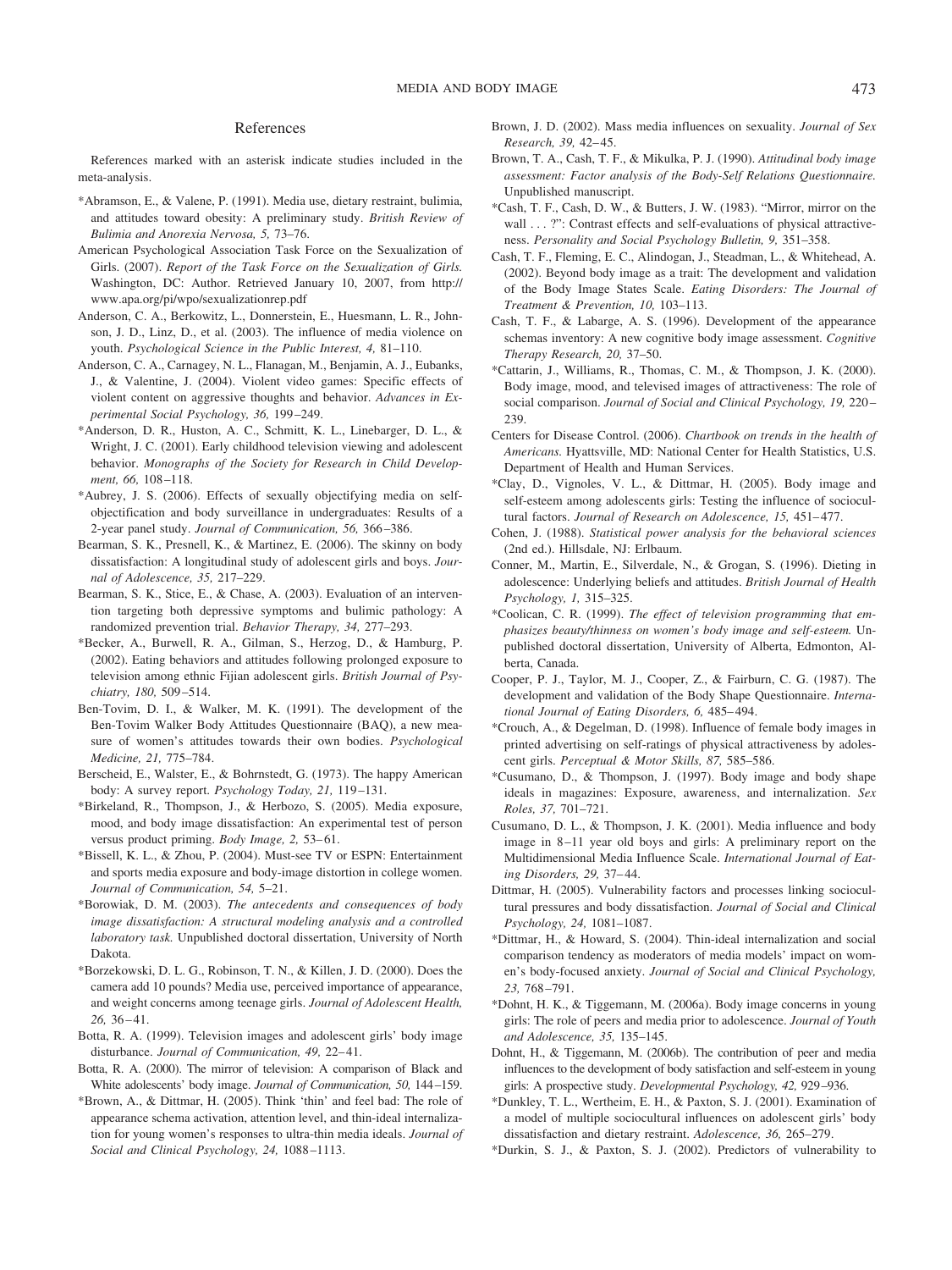#### References

References marked with an asterisk indicate studies included in the meta-analysis.

- \*Abramson, E., & Valene, P. (1991). Media use, dietary restraint, bulimia, and attitudes toward obesity: A preliminary study. *British Review of Bulimia and Anorexia Nervosa, 5,* 73–76.
- American Psychological Association Task Force on the Sexualization of Girls. (2007). *Report of the Task Force on the Sexualization of Girls.* Washington, DC: Author. Retrieved January 10, 2007, from http:// www.apa.org/pi/wpo/sexualizationrep.pdf
- Anderson, C. A., Berkowitz, L., Donnerstein, E., Huesmann, L. R., Johnson, J. D., Linz, D., et al. (2003). The influence of media violence on youth. *Psychological Science in the Public Interest, 4,* 81–110.
- Anderson, C. A., Carnagey, N. L., Flanagan, M., Benjamin, A. J., Eubanks, J., & Valentine, J. (2004). Violent video games: Specific effects of violent content on aggressive thoughts and behavior. *Advances in Experimental Social Psychology, 36,* 199 –249.
- \*Anderson, D. R., Huston, A. C., Schmitt, K. L., Linebarger, D. L., & Wright, J. C. (2001). Early childhood television viewing and adolescent behavior. *Monographs of the Society for Research in Child Development, 66,* 108 –118.
- \*Aubrey, J. S. (2006). Effects of sexually objectifying media on selfobjectification and body surveillance in undergraduates: Results of a 2-year panel study. *Journal of Communication, 56,* 366 –386.
- Bearman, S. K., Presnell, K., & Martinez, E. (2006). The skinny on body dissatisfaction: A longitudinal study of adolescent girls and boys. *Journal of Adolescence, 35,* 217–229.
- Bearman, S. K., Stice, E., & Chase, A. (2003). Evaluation of an intervention targeting both depressive symptoms and bulimic pathology: A randomized prevention trial. *Behavior Therapy, 34,* 277–293.
- \*Becker, A., Burwell, R. A., Gilman, S., Herzog, D., & Hamburg, P. (2002). Eating behaviors and attitudes following prolonged exposure to television among ethnic Fijian adolescent girls. *British Journal of Psychiatry, 180,* 509 –514.
- Ben-Tovim, D. I., & Walker, M. K. (1991). The development of the Ben-Tovim Walker Body Attitudes Questionnaire (BAQ), a new measure of women's attitudes towards their own bodies. *Psychological Medicine, 21,* 775–784.
- Berscheid, E., Walster, E., & Bohrnstedt, G. (1973). The happy American body: A survey report. *Psychology Today, 21,* 119 –131.
- \*Birkeland, R., Thompson, J., & Herbozo, S. (2005). Media exposure, mood, and body image dissatisfaction: An experimental test of person versus product priming. *Body Image*, 2, 53-61.
- \*Bissell, K. L., & Zhou, P. (2004). Must-see TV or ESPN: Entertainment and sports media exposure and body-image distortion in college women. *Journal of Communication, 54,* 5–21.
- \*Borowiak, D. M. (2003). *The antecedents and consequences of body image dissatisfaction: A structural modeling analysis and a controlled laboratory task.* Unpublished doctoral dissertation, University of North Dakota.
- \*Borzekowski, D. L. G., Robinson, T. N., & Killen, J. D. (2000). Does the camera add 10 pounds? Media use, perceived importance of appearance, and weight concerns among teenage girls. *Journal of Adolescent Health, 26,* 36 – 41.
- Botta, R. A. (1999). Television images and adolescent girls' body image disturbance. *Journal of Communication*, 49, 22-41.
- Botta, R. A. (2000). The mirror of television: A comparison of Black and White adolescents' body image. *Journal of Communication, 50,* 144 –159.
- \*Brown, A., & Dittmar, H. (2005). Think 'thin' and feel bad: The role of appearance schema activation, attention level, and thin-ideal internalization for young women's responses to ultra-thin media ideals. *Journal of Social and Clinical Psychology, 24,* 1088 –1113.
- Brown, J. D. (2002). Mass media influences on sexuality. *Journal of Sex Research, 39,* 42– 45.
- Brown, T. A., Cash, T. F., & Mikulka, P. J. (1990). *Attitudinal body image assessment: Factor analysis of the Body-Self Relations Questionnaire.* Unpublished manuscript.
- \*Cash, T. F., Cash, D. W., & Butters, J. W. (1983). "Mirror, mirror on the wall . . . ?": Contrast effects and self-evaluations of physical attractiveness. *Personality and Social Psychology Bulletin, 9,* 351–358.
- Cash, T. F., Fleming, E. C., Alindogan, J., Steadman, L., & Whitehead, A. (2002). Beyond body image as a trait: The development and validation of the Body Image States Scale. *Eating Disorders: The Journal of Treatment & Prevention, 10,* 103–113.
- Cash, T. F., & Labarge, A. S. (1996). Development of the appearance schemas inventory: A new cognitive body image assessment. *Cognitive Therapy Research, 20,* 37–50.
- \*Cattarin, J., Williams, R., Thomas, C. M., & Thompson, J. K. (2000). Body image, mood, and televised images of attractiveness: The role of social comparison. *Journal of Social and Clinical Psychology, 19,* 220 – 239.
- Centers for Disease Control. (2006). *Chartbook on trends in the health of Americans.* Hyattsville, MD: National Center for Health Statistics, U.S. Department of Health and Human Services.
- \*Clay, D., Vignoles, V. L., & Dittmar, H. (2005). Body image and self-esteem among adolescents girls: Testing the influence of sociocultural factors. *Journal of Research on Adolescence*, 15, 451-477.
- Cohen, J. (1988). *Statistical power analysis for the behavioral sciences* (2nd ed.). Hillsdale, NJ: Erlbaum.
- Conner, M., Martin, E., Silverdale, N., & Grogan, S. (1996). Dieting in adolescence: Underlying beliefs and attitudes. *British Journal of Health Psychology, 1,* 315–325.
- \*Coolican, C. R. (1999). *The effect of television programming that emphasizes beauty/thinness on women's body image and self-esteem.* Unpublished doctoral dissertation, University of Alberta, Edmonton, Alberta, Canada.
- Cooper, P. J., Taylor, M. J., Cooper, Z., & Fairburn, C. G. (1987). The development and validation of the Body Shape Questionnaire. *International Journal of Eating Disorders, 6,* 485– 494.
- \*Crouch, A., & Degelman, D. (1998). Influence of female body images in printed advertising on self-ratings of physical attractiveness by adolescent girls. *Perceptual & Motor Skills, 87,* 585–586.
- \*Cusumano, D., & Thompson, J. (1997). Body image and body shape ideals in magazines: Exposure, awareness, and internalization. *Sex Roles, 37,* 701–721.
- Cusumano, D. L., & Thompson, J. K. (2001). Media influence and body image in 8 –11 year old boys and girls: A preliminary report on the Multidimensional Media Influence Scale. *International Journal of Eating Disorders, 29,* 37– 44.
- Dittmar, H. (2005). Vulnerability factors and processes linking sociocultural pressures and body dissatisfaction. *Journal of Social and Clinical Psychology, 24,* 1081–1087.
- \*Dittmar, H., & Howard, S. (2004). Thin-ideal internalization and social comparison tendency as moderators of media models' impact on women's body-focused anxiety. *Journal of Social and Clinical Psychology, 23,* 768 –791.
- \*Dohnt, H. K., & Tiggemann, M. (2006a). Body image concerns in young girls: The role of peers and media prior to adolescence. *Journal of Youth and Adolescence, 35,* 135–145.
- Dohnt, H., & Tiggemann, M. (2006b). The contribution of peer and media influences to the development of body satisfaction and self-esteem in young girls: A prospective study. *Developmental Psychology, 42,* 929 –936.
- \*Dunkley, T. L., Wertheim, E. H., & Paxton, S. J. (2001). Examination of a model of multiple sociocultural influences on adolescent girls' body dissatisfaction and dietary restraint. *Adolescence, 36,* 265–279.
- \*Durkin, S. J., & Paxton, S. J. (2002). Predictors of vulnerability to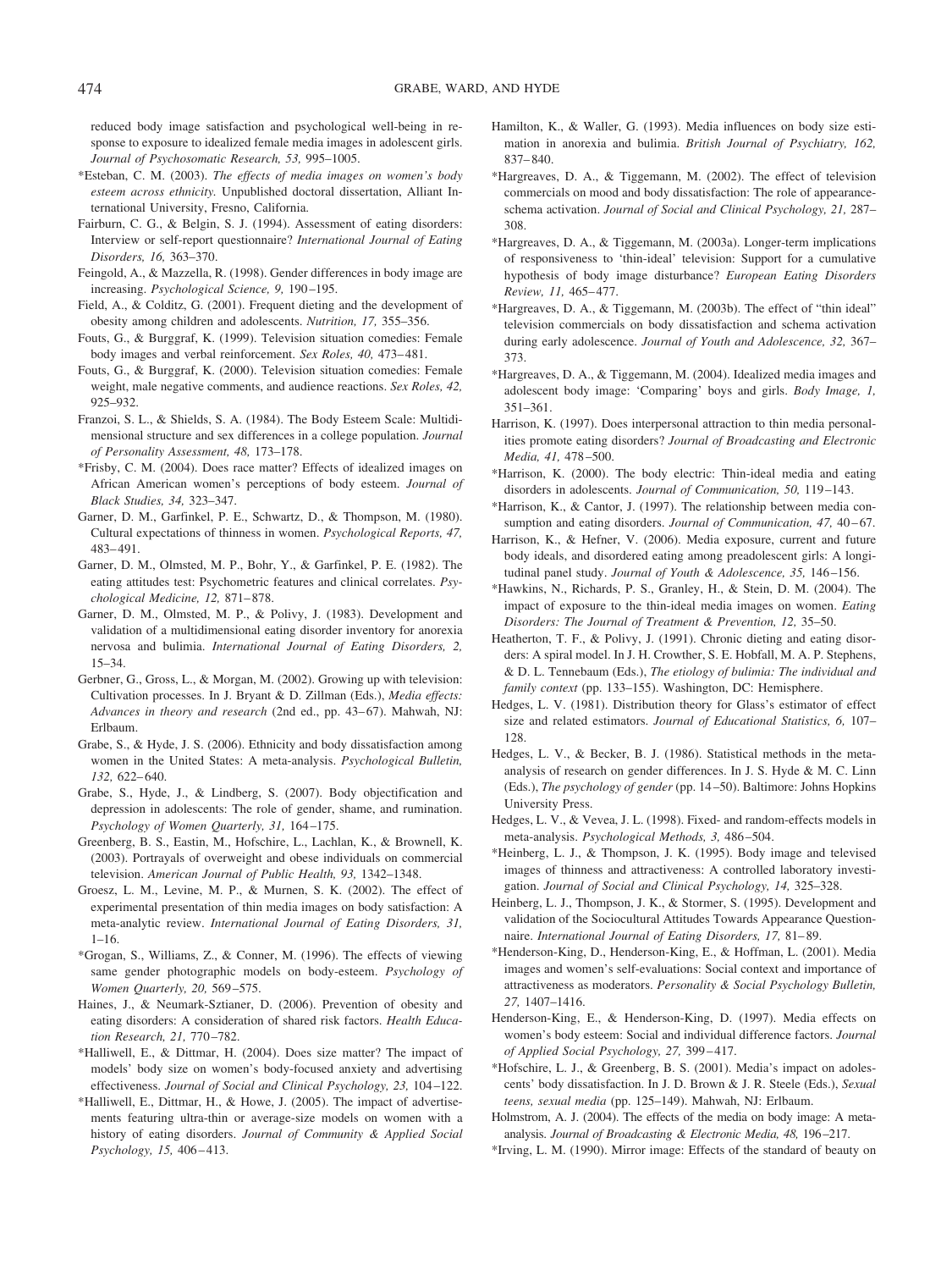reduced body image satisfaction and psychological well-being in response to exposure to idealized female media images in adolescent girls. *Journal of Psychosomatic Research, 53,* 995–1005.

- \*Esteban, C. M. (2003). *The effects of media images on women's body esteem across ethnicity.* Unpublished doctoral dissertation, Alliant International University, Fresno, California.
- Fairburn, C. G., & Belgin, S. J. (1994). Assessment of eating disorders: Interview or self-report questionnaire? *International Journal of Eating Disorders, 16,* 363–370.
- Feingold, A., & Mazzella, R. (1998). Gender differences in body image are increasing. *Psychological Science, 9,* 190 –195.
- Field, A., & Colditz, G. (2001). Frequent dieting and the development of obesity among children and adolescents. *Nutrition, 17,* 355–356.
- Fouts, G., & Burggraf, K. (1999). Television situation comedies: Female body images and verbal reinforcement. *Sex Roles, 40,* 473– 481.
- Fouts, G., & Burggraf, K. (2000). Television situation comedies: Female weight, male negative comments, and audience reactions. *Sex Roles, 42,* 925–932.
- Franzoi, S. L., & Shields, S. A. (1984). The Body Esteem Scale: Multidimensional structure and sex differences in a college population. *Journal of Personality Assessment, 48,* 173–178.
- \*Frisby, C. M. (2004). Does race matter? Effects of idealized images on African American women's perceptions of body esteem. *Journal of Black Studies, 34,* 323–347.
- Garner, D. M., Garfinkel, P. E., Schwartz, D., & Thompson, M. (1980). Cultural expectations of thinness in women. *Psychological Reports, 47,* 483– 491.
- Garner, D. M., Olmsted, M. P., Bohr, Y., & Garfinkel, P. E. (1982). The eating attitudes test: Psychometric features and clinical correlates. *Psychological Medicine, 12,* 871– 878.
- Garner, D. M., Olmsted, M. P., & Polivy, J. (1983). Development and validation of a multidimensional eating disorder inventory for anorexia nervosa and bulimia. *International Journal of Eating Disorders, 2,* 15–34.
- Gerbner, G., Gross, L., & Morgan, M. (2002). Growing up with television: Cultivation processes. In J. Bryant & D. Zillman (Eds.), *Media effects:* Advances in theory and research (2nd ed., pp. 43-67). Mahwah, NJ: Erlbaum.
- Grabe, S., & Hyde, J. S. (2006). Ethnicity and body dissatisfaction among women in the United States: A meta-analysis. *Psychological Bulletin, 132,* 622– 640.
- Grabe, S., Hyde, J., & Lindberg, S. (2007). Body objectification and depression in adolescents: The role of gender, shame, and rumination. *Psychology of Women Quarterly, 31,* 164 –175.
- Greenberg, B. S., Eastin, M., Hofschire, L., Lachlan, K., & Brownell, K. (2003). Portrayals of overweight and obese individuals on commercial television. *American Journal of Public Health, 93,* 1342–1348.
- Groesz, L. M., Levine, M. P., & Murnen, S. K. (2002). The effect of experimental presentation of thin media images on body satisfaction: A meta-analytic review. *International Journal of Eating Disorders, 31,*  $1 - 16$ .
- \*Grogan, S., Williams, Z., & Conner, M. (1996). The effects of viewing same gender photographic models on body-esteem. *Psychology of Women Quarterly, 20,* 569 –575.
- Haines, J., & Neumark-Sztianer, D. (2006). Prevention of obesity and eating disorders: A consideration of shared risk factors. *Health Education Research, 21,* 770 –782.
- \*Halliwell, E., & Dittmar, H. (2004). Does size matter? The impact of models' body size on women's body-focused anxiety and advertising effectiveness. *Journal of Social and Clinical Psychology, 23,* 104 –122.
- \*Halliwell, E., Dittmar, H., & Howe, J. (2005). The impact of advertisements featuring ultra-thin or average-size models on women with a history of eating disorders. *Journal of Community & Applied Social Psychology, 15,* 406 – 413.
- Hamilton, K., & Waller, G. (1993). Media influences on body size estimation in anorexia and bulimia. *British Journal of Psychiatry, 162,* 837– 840.
- \*Hargreaves, D. A., & Tiggemann, M. (2002). The effect of television commercials on mood and body dissatisfaction: The role of appearanceschema activation. *Journal of Social and Clinical Psychology, 21,* 287– 308.
- \*Hargreaves, D. A., & Tiggemann, M. (2003a). Longer-term implications of responsiveness to 'thin-ideal' television: Support for a cumulative hypothesis of body image disturbance? *European Eating Disorders Review, 11,* 465– 477.
- \*Hargreaves, D. A., & Tiggemann, M. (2003b). The effect of "thin ideal" television commercials on body dissatisfaction and schema activation during early adolescence. *Journal of Youth and Adolescence, 32,* 367– 373.
- \*Hargreaves, D. A., & Tiggemann, M. (2004). Idealized media images and adolescent body image: 'Comparing' boys and girls. *Body Image, 1,* 351–361.
- Harrison, K. (1997). Does interpersonal attraction to thin media personalities promote eating disorders? *Journal of Broadcasting and Electronic Media, 41,* 478 –500.
- \*Harrison, K. (2000). The body electric: Thin-ideal media and eating disorders in adolescents. *Journal of Communication, 50,* 119 –143.
- \*Harrison, K., & Cantor, J. (1997). The relationship between media consumption and eating disorders. *Journal of Communication, 47, 40-67*.
- Harrison, K., & Hefner, V. (2006). Media exposure, current and future body ideals, and disordered eating among preadolescent girls: A longitudinal panel study. *Journal of Youth & Adolescence, 35,* 146 –156.
- \*Hawkins, N., Richards, P. S., Granley, H., & Stein, D. M. (2004). The impact of exposure to the thin-ideal media images on women. *Eating Disorders: The Journal of Treatment & Prevention, 12,* 35–50.
- Heatherton, T. F., & Polivy, J. (1991). Chronic dieting and eating disorders: A spiral model. In J. H. Crowther, S. E. Hobfall, M. A. P. Stephens, & D. L. Tennebaum (Eds.), *The etiology of bulimia: The individual and family context* (pp. 133–155). Washington, DC: Hemisphere.
- Hedges, L. V. (1981). Distribution theory for Glass's estimator of effect size and related estimators. *Journal of Educational Statistics, 6,* 107– 128.
- Hedges, L. V., & Becker, B. J. (1986). Statistical methods in the metaanalysis of research on gender differences. In J. S. Hyde & M. C. Linn (Eds.), *The psychology of gender* (pp. 14 –50). Baltimore: Johns Hopkins University Press.
- Hedges, L. V., & Vevea, J. L. (1998). Fixed- and random-effects models in meta-analysis. *Psychological Methods, 3,* 486 –504.
- \*Heinberg, L. J., & Thompson, J. K. (1995). Body image and televised images of thinness and attractiveness: A controlled laboratory investigation. *Journal of Social and Clinical Psychology, 14,* 325–328.
- Heinberg, L. J., Thompson, J. K., & Stormer, S. (1995). Development and validation of the Sociocultural Attitudes Towards Appearance Questionnaire. *International Journal of Eating Disorders, 17,* 81– 89.
- \*Henderson-King, D., Henderson-King, E., & Hoffman, L. (2001). Media images and women's self-evaluations: Social context and importance of attractiveness as moderators. *Personality & Social Psychology Bulletin, 27,* 1407–1416.
- Henderson-King, E., & Henderson-King, D. (1997). Media effects on women's body esteem: Social and individual difference factors. *Journal of Applied Social Psychology, 27,* 399 – 417.
- \*Hofschire, L. J., & Greenberg, B. S. (2001). Media's impact on adolescents' body dissatisfaction. In J. D. Brown & J. R. Steele (Eds.), *Sexual teens, sexual media* (pp. 125–149). Mahwah, NJ: Erlbaum.
- Holmstrom, A. J. (2004). The effects of the media on body image: A metaanalysis. *Journal of Broadcasting & Electronic Media, 48,* 196 –217.
- \*Irving, L. M. (1990). Mirror image: Effects of the standard of beauty on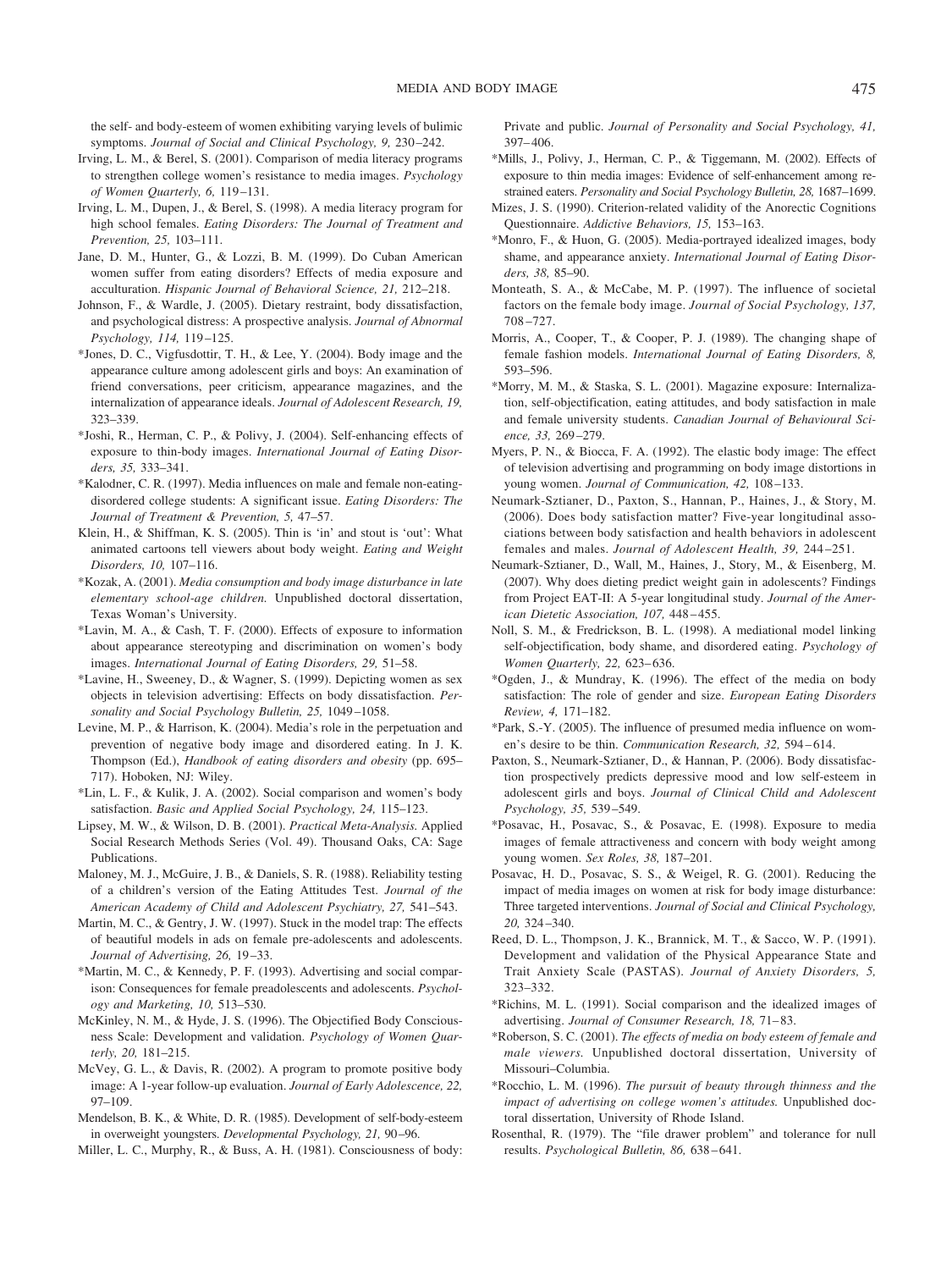the self- and body-esteem of women exhibiting varying levels of bulimic symptoms. *Journal of Social and Clinical Psychology, 9,* 230 –242.

- Irving, L. M., & Berel, S. (2001). Comparison of media literacy programs to strengthen college women's resistance to media images. *Psychology of Women Quarterly, 6,* 119 –131.
- Irving, L. M., Dupen, J., & Berel, S. (1998). A media literacy program for high school females. *Eating Disorders: The Journal of Treatment and Prevention, 25,* 103–111.
- Jane, D. M., Hunter, G., & Lozzi, B. M. (1999). Do Cuban American women suffer from eating disorders? Effects of media exposure and acculturation. *Hispanic Journal of Behavioral Science, 21,* 212–218.
- Johnson, F., & Wardle, J. (2005). Dietary restraint, body dissatisfaction, and psychological distress: A prospective analysis. *Journal of Abnormal Psychology, 114,* 119 –125.
- \*Jones, D. C., Vigfusdottir, T. H., & Lee, Y. (2004). Body image and the appearance culture among adolescent girls and boys: An examination of friend conversations, peer criticism, appearance magazines, and the internalization of appearance ideals. *Journal of Adolescent Research, 19,* 323–339.
- \*Joshi, R., Herman, C. P., & Polivy, J. (2004). Self-enhancing effects of exposure to thin-body images. *International Journal of Eating Disorders, 35,* 333–341.
- \*Kalodner, C. R. (1997). Media influences on male and female non-eatingdisordered college students: A significant issue. *Eating Disorders: The Journal of Treatment & Prevention, 5,* 47–57.
- Klein, H., & Shiffman, K. S. (2005). Thin is 'in' and stout is 'out': What animated cartoons tell viewers about body weight. *Eating and Weight Disorders, 10,* 107–116.
- \*Kozak, A. (2001). *Media consumption and body image disturbance in late elementary school-age children.* Unpublished doctoral dissertation, Texas Woman's University.
- \*Lavin, M. A., & Cash, T. F. (2000). Effects of exposure to information about appearance stereotyping and discrimination on women's body images. *International Journal of Eating Disorders, 29,* 51–58.
- \*Lavine, H., Sweeney, D., & Wagner, S. (1999). Depicting women as sex objects in television advertising: Effects on body dissatisfaction. *Personality and Social Psychology Bulletin, 25,* 1049 –1058.
- Levine, M. P., & Harrison, K. (2004). Media's role in the perpetuation and prevention of negative body image and disordered eating. In J. K. Thompson (Ed.), *Handbook of eating disorders and obesity* (pp. 695– 717). Hoboken, NJ: Wiley.
- \*Lin, L. F., & Kulik, J. A. (2002). Social comparison and women's body satisfaction. *Basic and Applied Social Psychology, 24,* 115–123.
- Lipsey, M. W., & Wilson, D. B. (2001). *Practical Meta-Analysis.* Applied Social Research Methods Series (Vol. 49). Thousand Oaks, CA: Sage Publications.
- Maloney, M. J., McGuire, J. B., & Daniels, S. R. (1988). Reliability testing of a children's version of the Eating Attitudes Test. *Journal of the American Academy of Child and Adolescent Psychiatry, 27,* 541–543.
- Martin, M. C., & Gentry, J. W. (1997). Stuck in the model trap: The effects of beautiful models in ads on female pre-adolescents and adolescents. *Journal of Advertising, 26,* 19 –33.
- \*Martin, M. C., & Kennedy, P. F. (1993). Advertising and social comparison: Consequences for female preadolescents and adolescents. *Psychology and Marketing, 10,* 513–530.
- McKinley, N. M., & Hyde, J. S. (1996). The Objectified Body Consciousness Scale: Development and validation. *Psychology of Women Quarterly, 20,* 181–215.
- McVey, G. L., & Davis, R. (2002). A program to promote positive body image: A 1-year follow-up evaluation. *Journal of Early Adolescence, 22,* 97–109.
- Mendelson, B. K., & White, D. R. (1985). Development of self-body-esteem in overweight youngsters. *Developmental Psychology, 21,* 90 –96.
- Miller, L. C., Murphy, R., & Buss, A. H. (1981). Consciousness of body:

Private and public. *Journal of Personality and Social Psychology, 41,* 397– 406.

- \*Mills, J., Polivy, J., Herman, C. P., & Tiggemann, M. (2002). Effects of exposure to thin media images: Evidence of self-enhancement among restrained eaters. *Personality and Social Psychology Bulletin, 28,* 1687–1699.
- Mizes, J. S. (1990). Criterion-related validity of the Anorectic Cognitions Questionnaire. *Addictive Behaviors, 15,* 153–163.
- \*Monro, F., & Huon, G. (2005). Media-portrayed idealized images, body shame, and appearance anxiety. *International Journal of Eating Disorders, 38,* 85–90.
- Monteath, S. A., & McCabe, M. P. (1997). The influence of societal factors on the female body image. *Journal of Social Psychology, 137,* 708 –727.
- Morris, A., Cooper, T., & Cooper, P. J. (1989). The changing shape of female fashion models. *International Journal of Eating Disorders, 8,* 593–596.
- \*Morry, M. M., & Staska, S. L. (2001). Magazine exposure: Internalization, self-objectification, eating attitudes, and body satisfaction in male and female university students. *Canadian Journal of Behavioural Science, 33,* 269 –279.
- Myers, P. N., & Biocca, F. A. (1992). The elastic body image: The effect of television advertising and programming on body image distortions in young women. *Journal of Communication, 42,* 108 –133.
- Neumark-Sztianer, D., Paxton, S., Hannan, P., Haines, J., & Story, M. (2006). Does body satisfaction matter? Five-year longitudinal associations between body satisfaction and health behaviors in adolescent females and males. *Journal of Adolescent Health, 39,* 244 –251.
- Neumark-Sztianer, D., Wall, M., Haines, J., Story, M., & Eisenberg, M. (2007). Why does dieting predict weight gain in adolescents? Findings from Project EAT-II: A 5-year longitudinal study. *Journal of the American Dietetic Association, 107,* 448 – 455.
- Noll, S. M., & Fredrickson, B. L. (1998). A mediational model linking self-objectification, body shame, and disordered eating. *Psychology of Women Quarterly, 22,* 623– 636.
- \*Ogden, J., & Mundray, K. (1996). The effect of the media on body satisfaction: The role of gender and size. *European Eating Disorders Review, 4,* 171–182.
- \*Park, S.-Y. (2005). The influence of presumed media influence on women's desire to be thin. *Communication Research, 32,* 594 – 614.
- Paxton, S., Neumark-Sztianer, D., & Hannan, P. (2006). Body dissatisfaction prospectively predicts depressive mood and low self-esteem in adolescent girls and boys. *Journal of Clinical Child and Adolescent Psychology, 35,* 539 –549.
- \*Posavac, H., Posavac, S., & Posavac, E. (1998). Exposure to media images of female attractiveness and concern with body weight among young women. *Sex Roles, 38,* 187–201.
- Posavac, H. D., Posavac, S. S., & Weigel, R. G. (2001). Reducing the impact of media images on women at risk for body image disturbance: Three targeted interventions. *Journal of Social and Clinical Psychology, 20,* 324 –340.
- Reed, D. L., Thompson, J. K., Brannick, M. T., & Sacco, W. P. (1991). Development and validation of the Physical Appearance State and Trait Anxiety Scale (PASTAS). *Journal of Anxiety Disorders, 5,* 323–332.
- \*Richins, M. L. (1991). Social comparison and the idealized images of advertising. *Journal of Consumer Research, 18,* 71– 83.
- \*Roberson, S. C. (2001). *The effects of media on body esteem of female and male viewers.* Unpublished doctoral dissertation, University of Missouri–Columbia.
- \*Rocchio, L. M. (1996). *The pursuit of beauty through thinness and the impact of advertising on college women's attitudes.* Unpublished doctoral dissertation, University of Rhode Island.
- Rosenthal, R. (1979). The "file drawer problem" and tolerance for null results. *Psychological Bulletin, 86,* 638 – 641.